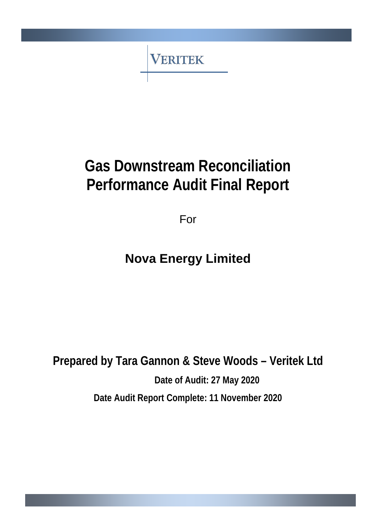**VERITEK** 

# **Gas Downstream Reconciliation Performance Audit Final Report**

For

# **Nova Energy Limited**

**Prepared by Tara Gannon & Steve Woods – Veritek Ltd Date of Audit: 27 May 2020 Date Audit Report Complete: 11 November 2020**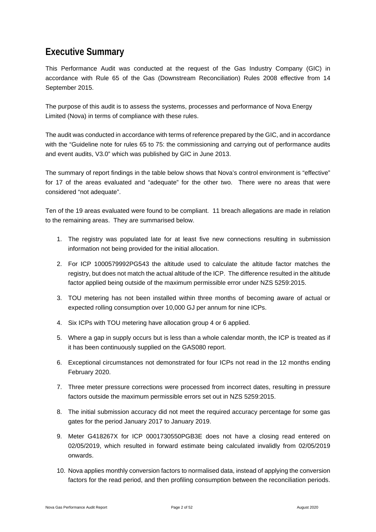### <span id="page-1-0"></span>**Executive Summary**

This Performance Audit was conducted at the request of the Gas Industry Company (GIC) in accordance with Rule 65 of the Gas (Downstream Reconciliation) Rules 2008 effective from 14 September 2015.

The purpose of this audit is to assess the systems, processes and performance of Nova Energy Limited (Nova) in terms of compliance with these rules.

The audit was conducted in accordance with terms of reference prepared by the GIC, and in accordance with the "Guideline note for rules 65 to 75: the commissioning and carrying out of performance audits and event audits, V3.0" which was published by GIC in June 2013.

The summary of report findings in the table below shows that Nova's control environment is "effective" for 17 of the areas evaluated and "adequate" for the other two. There were no areas that were considered "not adequate".

Ten of the 19 areas evaluated were found to be compliant. 11 breach allegations are made in relation to the remaining areas. They are summarised below.

- 1. The registry was populated late for at least five new connections resulting in submission information not being provided for the initial allocation.
- 2. For ICP 1000579992PG543 the altitude used to calculate the altitude factor matches the registry, but does not match the actual altitude of the ICP. The difference resulted in the altitude factor applied being outside of the maximum permissible error under NZS 5259:2015.
- 3. TOU metering has not been installed within three months of becoming aware of actual or expected rolling consumption over 10,000 GJ per annum for nine ICPs.
- 4. Six ICPs with TOU metering have allocation group 4 or 6 applied.
- 5. Where a gap in supply occurs but is less than a whole calendar month, the ICP is treated as if it has been continuously supplied on the GAS080 report.
- 6. Exceptional circumstances not demonstrated for four ICPs not read in the 12 months ending February 2020.
- 7. Three meter pressure corrections were processed from incorrect dates, resulting in pressure factors outside the maximum permissible errors set out in NZS 5259:2015.
- 8. The initial submission accuracy did not meet the required accuracy percentage for some gas gates for the period January 2017 to January 2019.
- 9. Meter G418267X for ICP 0001730550PGB3E does not have a closing read entered on 02/05/2019, which resulted in forward estimate being calculated invalidly from 02/05/2019 onwards.
- 10. Nova applies monthly conversion factors to normalised data, instead of applying the conversion factors for the read period, and then profiling consumption between the reconciliation periods.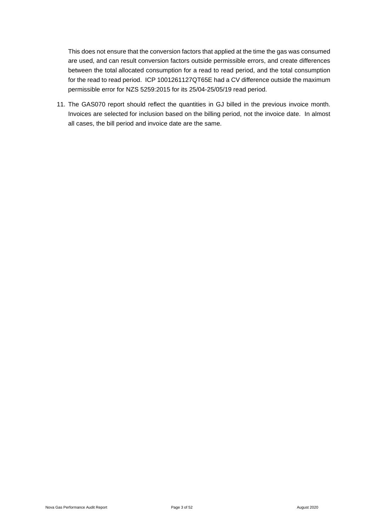This does not ensure that the conversion factors that applied at the time the gas was consumed are used, and can result conversion factors outside permissible errors, and create differences between the total allocated consumption for a read to read period, and the total consumption for the read to read period. ICP 1001261127QT65E had a CV difference outside the maximum permissible error for NZS 5259:2015 for its 25/04-25/05/19 read period.

11. The GAS070 report should reflect the quantities in GJ billed in the previous invoice month. Invoices are selected for inclusion based on the billing period, not the invoice date. In almost all cases, the bill period and invoice date are the same.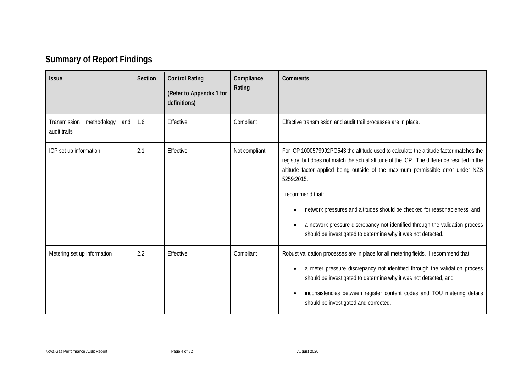# **Summary of Report Findings**

<span id="page-3-0"></span>

| <b>Issue</b>                                       | Section | <b>Control Rating</b><br>(Refer to Appendix 1 for<br>definitions) | Compliance<br>Rating | <b>Comments</b>                                                                                                                                                                                                                                                                                                                                                                                                                                                                                                                           |
|----------------------------------------------------|---------|-------------------------------------------------------------------|----------------------|-------------------------------------------------------------------------------------------------------------------------------------------------------------------------------------------------------------------------------------------------------------------------------------------------------------------------------------------------------------------------------------------------------------------------------------------------------------------------------------------------------------------------------------------|
| methodology<br>Transmission<br>and<br>audit trails | 1.6     | Effective                                                         | Compliant            | Effective transmission and audit trail processes are in place.                                                                                                                                                                                                                                                                                                                                                                                                                                                                            |
| ICP set up information                             | 2.1     | Effective                                                         | Not compliant        | For ICP 1000579992PG543 the altitude used to calculate the altitude factor matches the<br>registry, but does not match the actual altitude of the ICP. The difference resulted in the<br>altitude factor applied being outside of the maximum permissible error under NZS<br>5259:2015.<br>I recommend that:<br>network pressures and altitudes should be checked for reasonableness, and<br>a network pressure discrepancy not identified through the validation process<br>should be investigated to determine why it was not detected. |
| Metering set up information                        | 2.2     | Effective                                                         | Compliant            | Robust validation processes are in place for all metering fields. I recommend that:<br>a meter pressure discrepancy not identified through the validation process<br>should be investigated to determine why it was not detected, and<br>inconsistencies between register content codes and TOU metering details<br>should be investigated and corrected.                                                                                                                                                                                 |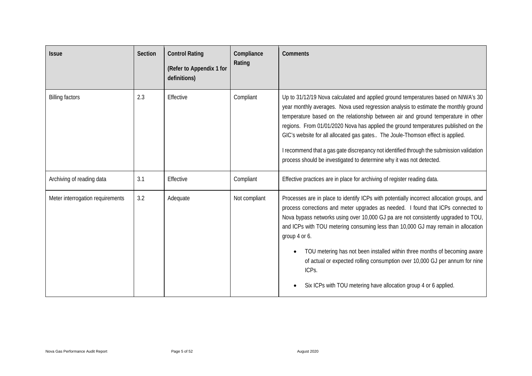| <b>Issue</b>                     | <b>Section</b> | <b>Control Rating</b><br>(Refer to Appendix 1 for<br>definitions) | Compliance<br>Rating | <b>Comments</b>                                                                                                                                                                                                                                                                                                                                                                                                                                                                                                                                                                                                    |
|----------------------------------|----------------|-------------------------------------------------------------------|----------------------|--------------------------------------------------------------------------------------------------------------------------------------------------------------------------------------------------------------------------------------------------------------------------------------------------------------------------------------------------------------------------------------------------------------------------------------------------------------------------------------------------------------------------------------------------------------------------------------------------------------------|
| <b>Billing factors</b>           | 2.3            | Effective                                                         | Compliant            | Up to 31/12/19 Nova calculated and applied ground temperatures based on NIWA's 30<br>year monthly averages. Nova used regression analysis to estimate the monthly ground<br>temperature based on the relationship between air and ground temperature in other<br>regions. From 01/01/2020 Nova has applied the ground temperatures published on the<br>GIC's website for all allocated gas gates The Joule-Thomson effect is applied.<br>I recommend that a gas gate discrepancy not identified through the submission validation<br>process should be investigated to determine why it was not detected.          |
| Archiving of reading data        | 3.1            | Effective                                                         | Compliant            | Effective practices are in place for archiving of register reading data.                                                                                                                                                                                                                                                                                                                                                                                                                                                                                                                                           |
| Meter interrogation requirements | 3.2            | Adequate                                                          | Not compliant        | Processes are in place to identify ICPs with potentially incorrect allocation groups, and<br>process corrections and meter upgrades as needed. I found that ICPs connected to<br>Nova bypass networks using over 10,000 GJ pa are not consistently upgraded to TOU,<br>and ICPs with TOU metering consuming less than 10,000 GJ may remain in allocation<br>group 4 or 6.<br>TOU metering has not been installed within three months of becoming aware<br>of actual or expected rolling consumption over 10,000 GJ per annum for nine<br>ICPs.<br>Six ICPs with TOU metering have allocation group 4 or 6 applied. |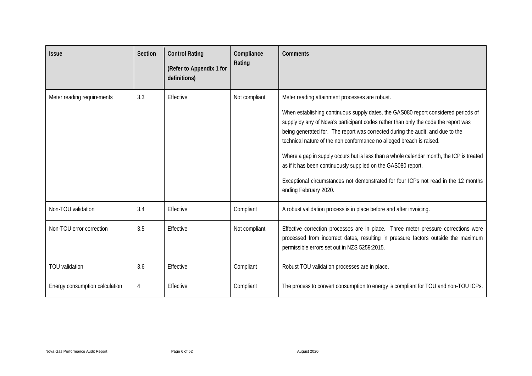| <b>Issue</b>                   | Section | <b>Control Rating</b><br>(Refer to Appendix 1 for<br>definitions) | Compliance<br>Rating | Comments                                                                                                                                                                                                                                                                                                                                                                                                                                                                                                                                                                                                                                                         |
|--------------------------------|---------|-------------------------------------------------------------------|----------------------|------------------------------------------------------------------------------------------------------------------------------------------------------------------------------------------------------------------------------------------------------------------------------------------------------------------------------------------------------------------------------------------------------------------------------------------------------------------------------------------------------------------------------------------------------------------------------------------------------------------------------------------------------------------|
| Meter reading requirements     | 3.3     | Effective                                                         | Not compliant        | Meter reading attainment processes are robust.<br>When establishing continuous supply dates, the GAS080 report considered periods of<br>supply by any of Nova's participant codes rather than only the code the report was<br>being generated for. The report was corrected during the audit, and due to the<br>technical nature of the non conformance no alleged breach is raised.<br>Where a gap in supply occurs but is less than a whole calendar month, the ICP is treated<br>as if it has been continuously supplied on the GAS080 report.<br>Exceptional circumstances not demonstrated for four ICPs not read in the 12 months<br>ending February 2020. |
| Non-TOU validation             | 3.4     | Effective                                                         | Compliant            | A robust validation process is in place before and after invoicing.                                                                                                                                                                                                                                                                                                                                                                                                                                                                                                                                                                                              |
| Non-TOU error correction       | 3.5     | Effective                                                         | Not compliant        | Effective correction processes are in place. Three meter pressure corrections were<br>processed from incorrect dates, resulting in pressure factors outside the maximum<br>permissible errors set out in NZS 5259:2015.                                                                                                                                                                                                                                                                                                                                                                                                                                          |
| <b>TOU</b> validation          | 3.6     | Effective                                                         | Compliant            | Robust TOU validation processes are in place.                                                                                                                                                                                                                                                                                                                                                                                                                                                                                                                                                                                                                    |
| Energy consumption calculation | 4       | Effective                                                         | Compliant            | The process to convert consumption to energy is compliant for TOU and non-TOU ICPs.                                                                                                                                                                                                                                                                                                                                                                                                                                                                                                                                                                              |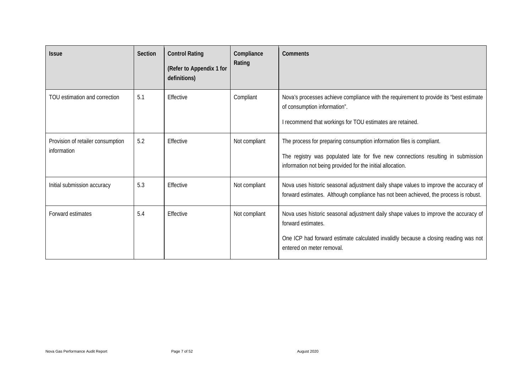| <b>Issue</b>                                     | Section | <b>Control Rating</b><br>(Refer to Appendix 1 for<br>definitions) | Compliance<br>Rating | Comments                                                                                                                                                                                                                       |
|--------------------------------------------------|---------|-------------------------------------------------------------------|----------------------|--------------------------------------------------------------------------------------------------------------------------------------------------------------------------------------------------------------------------------|
| TOU estimation and correction                    | 5.1     | Effective                                                         | Compliant            | Nova's processes achieve compliance with the requirement to provide its "best estimate<br>of consumption information".<br>I recommend that workings for TOU estimates are retained.                                            |
| Provision of retailer consumption<br>information | 5.2     | Effective                                                         | Not compliant        | The process for preparing consumption information files is compliant.<br>The registry was populated late for five new connections resulting in submission<br>information not being provided for the initial allocation.        |
| Initial submission accuracy                      | 5.3     | Effective                                                         | Not compliant        | Nova uses historic seasonal adjustment daily shape values to improve the accuracy of<br>forward estimates. Although compliance has not been achieved, the process is robust.                                                   |
| Forward estimates                                | 5.4     | Effective                                                         | Not compliant        | Nova uses historic seasonal adjustment daily shape values to improve the accuracy of<br>forward estimates.<br>One ICP had forward estimate calculated invalidly because a closing reading was not<br>entered on meter removal. |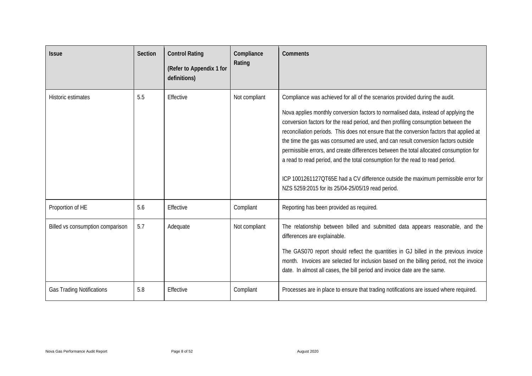| <b>Issue</b>                     | <b>Section</b> | <b>Control Rating</b><br>(Refer to Appendix 1 for<br>definitions) | Compliance<br>Rating | Comments                                                                                                                                                                                                                                                                                                                                                                                                                                                                                                                                                                                                                                                                                                                                                       |
|----------------------------------|----------------|-------------------------------------------------------------------|----------------------|----------------------------------------------------------------------------------------------------------------------------------------------------------------------------------------------------------------------------------------------------------------------------------------------------------------------------------------------------------------------------------------------------------------------------------------------------------------------------------------------------------------------------------------------------------------------------------------------------------------------------------------------------------------------------------------------------------------------------------------------------------------|
| Historic estimates               | 5.5            | Effective                                                         | Not compliant        | Compliance was achieved for all of the scenarios provided during the audit.<br>Nova applies monthly conversion factors to normalised data, instead of applying the<br>conversion factors for the read period, and then profiling consumption between the<br>reconciliation periods. This does not ensure that the conversion factors that applied at<br>the time the gas was consumed are used, and can result conversion factors outside<br>permissible errors, and create differences between the total allocated consumption for<br>a read to read period, and the total consumption for the read to read period.<br>ICP 1001261127QT65E had a CV difference outside the maximum permissible error for<br>NZS 5259:2015 for its 25/04-25/05/19 read period. |
| Proportion of HE                 | 5.6            | Effective                                                         | Compliant            | Reporting has been provided as required.                                                                                                                                                                                                                                                                                                                                                                                                                                                                                                                                                                                                                                                                                                                       |
| Billed vs consumption comparison | 5.7            | Adequate                                                          | Not compliant        | The relationship between billed and submitted data appears reasonable, and the<br>differences are explainable.<br>The GAS070 report should reflect the quantities in GJ billed in the previous invoice<br>month. Invoices are selected for inclusion based on the billing period, not the invoice<br>date. In almost all cases, the bill period and invoice date are the same.                                                                                                                                                                                                                                                                                                                                                                                 |
| <b>Gas Trading Notifications</b> | 5.8            | Effective                                                         | Compliant            | Processes are in place to ensure that trading notifications are issued where required.                                                                                                                                                                                                                                                                                                                                                                                                                                                                                                                                                                                                                                                                         |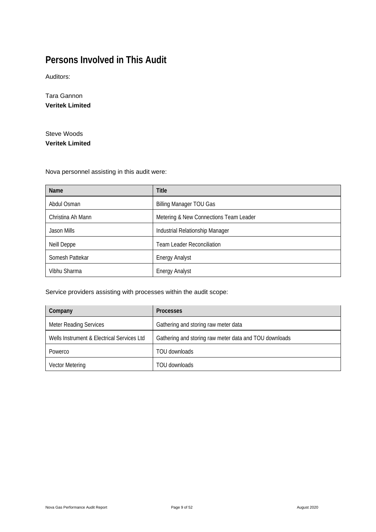# <span id="page-8-0"></span>**Persons Involved in This Audit**

Auditors:

Tara Gannon **Veritek Limited**

Steve Woods **Veritek Limited**

Nova personnel assisting in this audit were:

| <b>Name</b>       | <b>Title</b>                           |
|-------------------|----------------------------------------|
| Abdul Osman       | <b>Billing Manager TOU Gas</b>         |
| Christina Ah Mann | Metering & New Connections Team Leader |
| Jason Mills       | Industrial Relationship Manager        |
| Neill Deppe       | <b>Team Leader Reconciliation</b>      |
| Somesh Pattekar   | <b>Energy Analyst</b>                  |
| Vibhu Sharma      | <b>Energy Analyst</b>                  |

Service providers assisting with processes within the audit scope:

| Company                                    | <b>Processes</b>                                       |  |  |
|--------------------------------------------|--------------------------------------------------------|--|--|
| <b>Meter Reading Services</b>              | Gathering and storing raw meter data                   |  |  |
| Wells Instrument & Electrical Services Ltd | Gathering and storing raw meter data and TOU downloads |  |  |
| Powerco                                    | TOU downloads                                          |  |  |
| <b>Vector Metering</b>                     | TOU downloads                                          |  |  |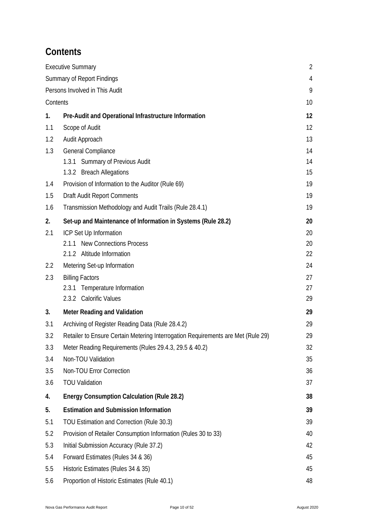# <span id="page-9-0"></span>**Contents**

|          | <b>Executive Summary</b>                                                         | $\overline{2}$ |
|----------|----------------------------------------------------------------------------------|----------------|
|          | <b>Summary of Report Findings</b>                                                | 4              |
|          | Persons Involved in This Audit                                                   | 9              |
| Contents |                                                                                  | 10             |
| 1.       | Pre-Audit and Operational Infrastructure Information                             | 12             |
| 1.1      | Scope of Audit                                                                   | 12             |
| 1.2      | Audit Approach                                                                   | 13             |
| 1.3      | General Compliance                                                               | 14             |
|          | 1.3.1 Summary of Previous Audit                                                  | 14             |
|          | 1.3.2 Breach Allegations                                                         | 15             |
| 1.4      | Provision of Information to the Auditor (Rule 69)                                | 19             |
| 1.5      | <b>Draft Audit Report Comments</b>                                               | 19             |
| 1.6      | Transmission Methodology and Audit Trails (Rule 28.4.1)                          | 19             |
| 2.       | Set-up and Maintenance of Information in Systems (Rule 28.2)                     | 20             |
| 2.1      | ICP Set Up Information                                                           | 20             |
|          | 2.1.1 New Connections Process                                                    | 20             |
|          | 2.1.2 Altitude Information                                                       | 22             |
| 2.2      | Metering Set-up Information                                                      | 24             |
| 2.3      | <b>Billing Factors</b>                                                           | 27             |
|          | Temperature Information<br>2.3.1                                                 | 27             |
|          | 2.3.2 Calorific Values                                                           | 29             |
| 3.       | <b>Meter Reading and Validation</b>                                              | 29             |
| 3.1      | Archiving of Register Reading Data (Rule 28.4.2)                                 | 29             |
| 3.2      | Retailer to Ensure Certain Metering Interrogation Requirements are Met (Rule 29) | 29             |
| 3.3      | Meter Reading Requirements (Rules 29.4.3, 29.5 & 40.2)                           | 32             |
| 3.4      | Non-TOU Validation                                                               | 35             |
| 3.5      | Non-TOU Error Correction                                                         | 36             |
| 3.6      | <b>TOU Validation</b>                                                            | 37             |
| 4.       | <b>Energy Consumption Calculation (Rule 28.2)</b>                                | 38             |
| 5.       | <b>Estimation and Submission Information</b>                                     | 39             |
| 5.1      | TOU Estimation and Correction (Rule 30.3)                                        | 39             |
| 5.2      | Provision of Retailer Consumption Information (Rules 30 to 33)                   | 40             |
| 5.3      | Initial Submission Accuracy (Rule 37.2)                                          | 42             |
| 5.4      | Forward Estimates (Rules 34 & 36)                                                | 45             |
| 5.5      | Historic Estimates (Rules 34 & 35)                                               | 45             |
| 5.6      | Proportion of Historic Estimates (Rule 40.1)                                     | 48             |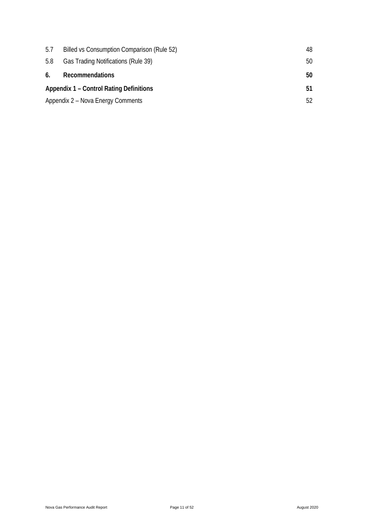| 5.7 | Billed vs Consumption Comparison (Rule 52)     | 48 |
|-----|------------------------------------------------|----|
| 5.8 | Gas Trading Notifications (Rule 39)            | 50 |
| 6.  | Recommendations                                | 50 |
|     | <b>Appendix 1 – Control Rating Definitions</b> | 51 |
|     | Appendix 2 – Nova Energy Comments              | 52 |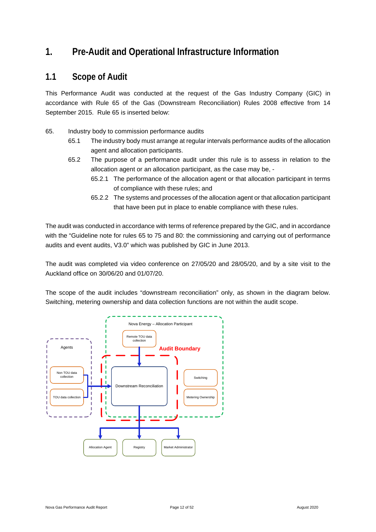### <span id="page-11-0"></span>**1. Pre-Audit and Operational Infrastructure Information**

#### <span id="page-11-1"></span>**1.1 Scope of Audit**

This Performance Audit was conducted at the request of the Gas Industry Company (GIC) in accordance with Rule 65 of the Gas (Downstream Reconciliation) Rules 2008 effective from 14 September 2015. Rule 65 is inserted below:

- 65. Industry body to commission performance audits
	- 65.1 The industry body must arrange at regular intervals performance audits of the allocation agent and allocation participants.
	- 65.2 The purpose of a performance audit under this rule is to assess in relation to the allocation agent or an allocation participant, as the case may be, -
		- 65.2.1 The performance of the allocation agent or that allocation participant in terms of compliance with these rules; and
		- 65.2.2 The systems and processes of the allocation agent or that allocation participant that have been put in place to enable compliance with these rules.

The audit was conducted in accordance with terms of reference prepared by the GIC, and in accordance with the "Guideline note for rules 65 to 75 and 80: the commissioning and carrying out of performance audits and event audits, V3.0" which was published by GIC in June 2013.

The audit was completed via video conference on 27/05/20 and 28/05/20, and by a site visit to the Auckland office on 30/06/20 and 01/07/20.

The scope of the audit includes "downstream reconciliation" only, as shown in the diagram below. Switching, metering ownership and data collection functions are not within the audit scope.

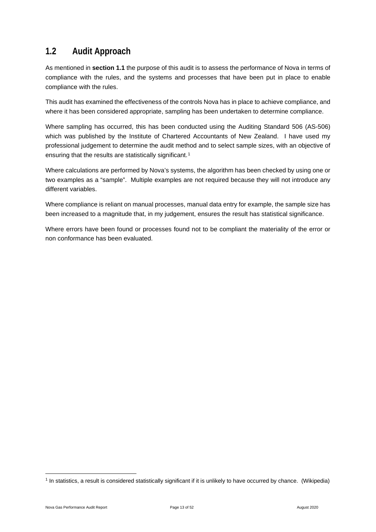### <span id="page-12-0"></span>**1.2 Audit Approach**

As mentioned in **section 1.1** the purpose of this audit is to assess the performance of Nova in terms of compliance with the rules, and the systems and processes that have been put in place to enable compliance with the rules.

This audit has examined the effectiveness of the controls Nova has in place to achieve compliance, and where it has been considered appropriate, sampling has been undertaken to determine compliance.

Where sampling has occurred, this has been conducted using the Auditing Standard 506 (AS-506) which was published by the Institute of Chartered Accountants of New Zealand. I have used my professional judgement to determine the audit method and to select sample sizes, with an objective of ensuring that the results are statistically significant.<sup>[1](#page-12-1)</sup>

Where calculations are performed by Nova's systems, the algorithm has been checked by using one or two examples as a "sample". Multiple examples are not required because they will not introduce any different variables.

Where compliance is reliant on manual processes, manual data entry for example, the sample size has been increased to a magnitude that, in my judgement, ensures the result has statistical significance.

Where errors have been found or processes found not to be compliant the materiality of the error or non conformance has been evaluated.

<span id="page-12-1"></span><sup>1</sup> In statistics, a result is considered statistically significant if it is unlikely to have occurred by chance. (Wikipedia)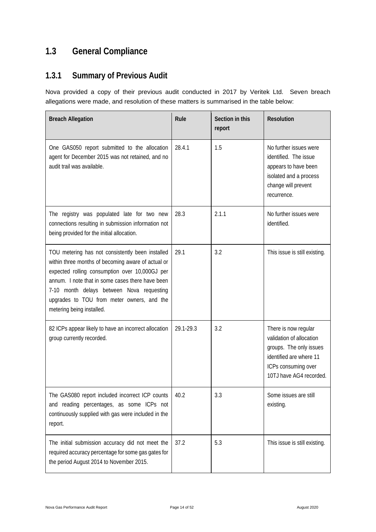# <span id="page-13-0"></span>**1.3 General Compliance**

# <span id="page-13-1"></span>**1.3.1 Summary of Previous Audit**

Nova provided a copy of their previous audit conducted in 2017 by Veritek Ltd. Seven breach allegations were made, and resolution of these matters is summarised in the table below:

| <b>Breach Allegation</b>                                                                                                                                                                                                                                                                                                             | Rule      | Section in this<br>report | Resolution                                                                                                                                               |
|--------------------------------------------------------------------------------------------------------------------------------------------------------------------------------------------------------------------------------------------------------------------------------------------------------------------------------------|-----------|---------------------------|----------------------------------------------------------------------------------------------------------------------------------------------------------|
| One GAS050 report submitted to the allocation<br>agent for December 2015 was not retained, and no<br>audit trail was available.                                                                                                                                                                                                      | 28.4.1    | 1.5                       | No further issues were<br>identified. The issue<br>appears to have been<br>isolated and a process<br>change will prevent<br>recurrence.                  |
| The registry was populated late for two new<br>connections resulting in submission information not<br>being provided for the initial allocation.                                                                                                                                                                                     | 28.3      | 2.1.1                     | No further issues were<br>identified.                                                                                                                    |
| TOU metering has not consistently been installed<br>within three months of becoming aware of actual or<br>expected rolling consumption over 10,000GJ per<br>annum. I note that in some cases there have been<br>7-10 month delays between Nova requesting<br>upgrades to TOU from meter owners, and the<br>metering being installed. | 29.1      | 3.2                       | This issue is still existing.                                                                                                                            |
| 82 ICPs appear likely to have an incorrect allocation<br>group currently recorded.                                                                                                                                                                                                                                                   | 29.1-29.3 | 3.2                       | There is now regular<br>validation of allocation<br>groups. The only issues<br>identified are where 11<br>ICPs consuming over<br>10TJ have AG4 recorded. |
| The GAS080 report included incorrect ICP counts<br>and reading percentages, as some ICPs not<br>continuously supplied with gas were included in the<br>report.                                                                                                                                                                       | 40.2      | 3.3                       | Some issues are still<br>existing.                                                                                                                       |
| The initial submission accuracy did not meet the<br>required accuracy percentage for some gas gates for<br>the period August 2014 to November 2015.                                                                                                                                                                                  | 37.2      | 5.3                       | This issue is still existing.                                                                                                                            |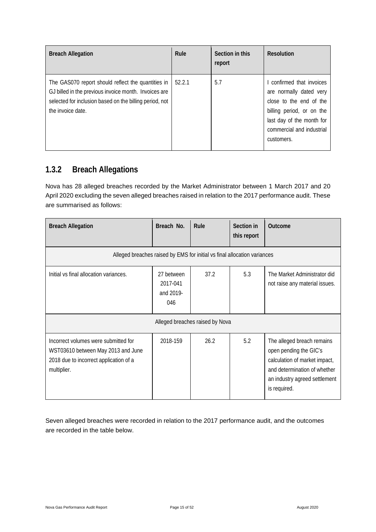| <b>Breach Allegation</b>                                                                                                                                                                    | Rule   | Section in this<br>report | Resolution                                                                                                                                                                           |
|---------------------------------------------------------------------------------------------------------------------------------------------------------------------------------------------|--------|---------------------------|--------------------------------------------------------------------------------------------------------------------------------------------------------------------------------------|
| The GAS070 report should reflect the quantities in<br>GJ billed in the previous invoice month. Invoices are<br>selected for inclusion based on the billing period, not<br>the invoice date. | 52.2.1 | 5.7                       | I confirmed that invoices<br>are normally dated very<br>close to the end of the<br>billing period, or on the<br>last day of the month for<br>commercial and industrial<br>customers. |

### <span id="page-14-0"></span>**1.3.2 Breach Allegations**

Nova has 28 alleged breaches recorded by the Market Administrator between 1 March 2017 and 20 April 2020 excluding the seven alleged breaches raised in relation to the 2017 performance audit. These are summarised as follows:

| <b>Breach Allegation</b>                                                                                                            | Breach No.                                 | Rule                            | Section in<br>this report | Outcome                                                                                                                                                                |
|-------------------------------------------------------------------------------------------------------------------------------------|--------------------------------------------|---------------------------------|---------------------------|------------------------------------------------------------------------------------------------------------------------------------------------------------------------|
| Alleged breaches raised by EMS for initial vs final allocation variances                                                            |                                            |                                 |                           |                                                                                                                                                                        |
| Initial vs final allocation variances.                                                                                              | 27 between<br>2017-041<br>and 2019-<br>046 | 37.2                            | 5.3                       | The Market Administrator did<br>not raise any material issues.                                                                                                         |
|                                                                                                                                     |                                            | Alleged breaches raised by Nova |                           |                                                                                                                                                                        |
| Incorrect volumes were submitted for<br>WST03610 between May 2013 and June<br>2018 due to incorrect application of a<br>multiplier. | 2018-159                                   | 26.2                            | 5.2                       | The alleged breach remains<br>open pending the GIC's<br>calculation of market impact,<br>and determination of whether<br>an industry agreed settlement<br>is required. |

Seven alleged breaches were recorded in relation to the 2017 performance audit, and the outcomes are recorded in the table below.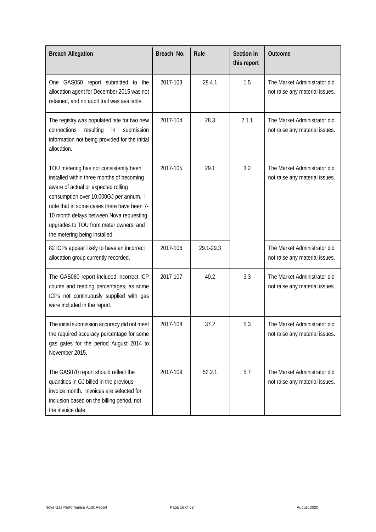| <b>Breach Allegation</b>                                                                                                                                                                                                                                                                                                                 | Breach No. | Rule      | Section in<br>this report | Outcome                                                        |
|------------------------------------------------------------------------------------------------------------------------------------------------------------------------------------------------------------------------------------------------------------------------------------------------------------------------------------------|------------|-----------|---------------------------|----------------------------------------------------------------|
| One GAS050 report submitted to the<br>allocation agent for December 2015 was not<br>retained, and no audit trail was available.                                                                                                                                                                                                          | 2017-103   | 28.4.1    | 1.5                       | The Market Administrator did<br>not raise any material issues. |
| The registry was populated late for two new<br>connections<br>resulting<br>submission<br>in<br>information not being provided for the initial<br>allocation.                                                                                                                                                                             | 2017-104   | 28.3      | 2.1.1                     | The Market Administrator did<br>not raise any material issues. |
| TOU metering has not consistently been<br>installed within three months of becoming<br>aware of actual or expected rolling<br>consumption over 10,000GJ per annum. I<br>note that in some cases there have been 7-<br>10 month delays between Nova requesting<br>upgrades to TOU from meter owners, and<br>the metering being installed. | 2017-105   | 29.1      | 3.2                       | The Market Administrator did<br>not raise any material issues. |
| 82 ICPs appear likely to have an incorrect<br>allocation group currently recorded.                                                                                                                                                                                                                                                       | 2017-106   | 29.1-29.3 |                           | The Market Administrator did<br>not raise any material issues. |
| The GAS080 report included incorrect ICP<br>counts and reading percentages, as some<br>ICPs not continuously supplied with gas<br>were included in the report.                                                                                                                                                                           | 2017-107   | 40.2      | 3.3                       | The Market Administrator did<br>not raise any material issues. |
| The initial submission accuracy did not meet<br>the required accuracy percentage for some<br>gas gates for the period August 2014 to<br>November 2015.                                                                                                                                                                                   | 2017-108   | 37.2      | 5.3                       | The Market Administrator did<br>not raise any material issues. |
| The GAS070 report should reflect the<br>quantities in GJ billed in the previous<br>invoice month. Invoices are selected for<br>inclusion based on the billing period, not<br>the invoice date.                                                                                                                                           | 2017-109   | 52.2.1    | 5.7                       | The Market Administrator did<br>not raise any material issues. |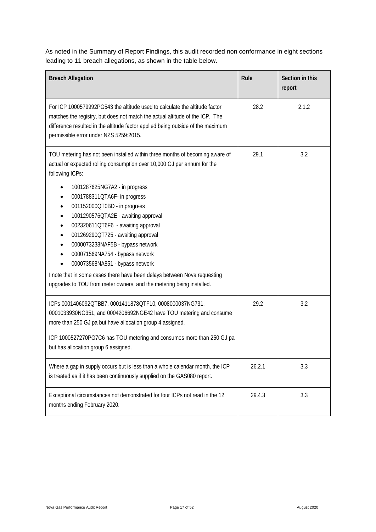As noted in the Summary of Report Findings, this audit recorded non conformance in eight sections leading to 11 breach allegations, as shown in the table below.

| <b>Breach Allegation</b>                                                                                                                                                                                                                                                                                                                                                                                                                                                                                                                                                                                                                                     | Rule   | Section in this<br>report |
|--------------------------------------------------------------------------------------------------------------------------------------------------------------------------------------------------------------------------------------------------------------------------------------------------------------------------------------------------------------------------------------------------------------------------------------------------------------------------------------------------------------------------------------------------------------------------------------------------------------------------------------------------------------|--------|---------------------------|
| For ICP 1000579992PG543 the altitude used to calculate the altitude factor<br>matches the registry, but does not match the actual altitude of the ICP. The<br>difference resulted in the altitude factor applied being outside of the maximum<br>permissible error under NZS 5259:2015.                                                                                                                                                                                                                                                                                                                                                                      | 28.2   | 2.1.2                     |
| TOU metering has not been installed within three months of becoming aware of<br>actual or expected rolling consumption over 10,000 GJ per annum for the<br>following ICPs:<br>1001287625NG7A2 - in progress<br>0001788311QTA6F- in progress<br>001152000QT0BD - in progress<br>1001290576QTA2E - awaiting approval<br>002320611QT6F6 - awaiting approval<br>001269290QT725 - awaiting approval<br>0000073238NAF5B - bypass network<br>000071569NA754 - bypass network<br>000073568NA851 - bypass network<br>I note that in some cases there have been delays between Nova requesting<br>upgrades to TOU from meter owners, and the metering being installed. | 29.1   | 3.2                       |
| ICPs 0001406092QTBB7, 0001411878QTF10, 0008000037NG731,<br>0001033930NG351, and 0004206692NGE42 have TOU metering and consume<br>more than 250 GJ pa but have allocation group 4 assigned.<br>ICP 1000527270PG7C6 has TOU metering and consumes more than 250 GJ pa<br>but has allocation group 6 assigned.                                                                                                                                                                                                                                                                                                                                                  | 29.2   | 3.2                       |
| Where a gap in supply occurs but is less than a whole calendar month, the ICP<br>is treated as if it has been continuously supplied on the GAS080 report.                                                                                                                                                                                                                                                                                                                                                                                                                                                                                                    | 26.2.1 | 3.3                       |
| Exceptional circumstances not demonstrated for four ICPs not read in the 12<br>months ending February 2020.                                                                                                                                                                                                                                                                                                                                                                                                                                                                                                                                                  | 29.4.3 | 3.3                       |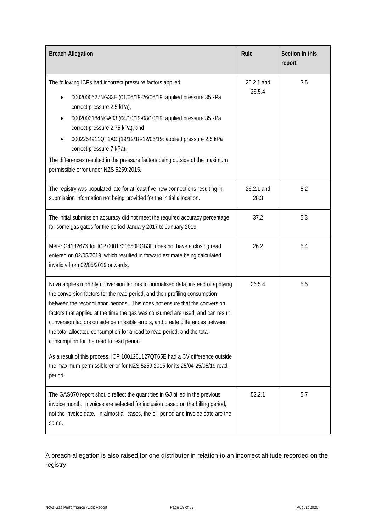| <b>Breach Allegation</b>                                                                                                                                                                                                                                                                                                                                                                                                                                                                                                                                                                                                                                                                                           | Rule                 | Section in this<br>report |
|--------------------------------------------------------------------------------------------------------------------------------------------------------------------------------------------------------------------------------------------------------------------------------------------------------------------------------------------------------------------------------------------------------------------------------------------------------------------------------------------------------------------------------------------------------------------------------------------------------------------------------------------------------------------------------------------------------------------|----------------------|---------------------------|
| The following ICPs had incorrect pressure factors applied:<br>0002000627NG33E (01/06/19-26/06/19: applied pressure 35 kPa<br>$\bullet$<br>correct pressure 2.5 kPa),<br>0002003184NGA03 (04/10/19-08/10/19: applied pressure 35 kPa<br>correct pressure 2.75 kPa), and<br>0002254911QT1AC (19/12/18-12/05/19: applied pressure 2.5 kPa<br>$\bullet$<br>correct pressure 7 kPa).<br>The differences resulted in the pressure factors being outside of the maximum<br>permissible error under NZS 5259:2015.                                                                                                                                                                                                         | 26.2.1 and<br>26.5.4 | 3.5                       |
| The registry was populated late for at least five new connections resulting in<br>submission information not being provided for the initial allocation.                                                                                                                                                                                                                                                                                                                                                                                                                                                                                                                                                            | 26.2.1 and<br>28.3   | 5.2                       |
| The initial submission accuracy did not meet the required accuracy percentage<br>for some gas gates for the period January 2017 to January 2019.                                                                                                                                                                                                                                                                                                                                                                                                                                                                                                                                                                   | 37.2                 | 5.3                       |
| Meter G418267X for ICP 0001730550PGB3E does not have a closing read<br>entered on 02/05/2019, which resulted in forward estimate being calculated<br>invalidly from 02/05/2019 onwards.                                                                                                                                                                                                                                                                                                                                                                                                                                                                                                                            | 26.2                 | 5.4                       |
| Nova applies monthly conversion factors to normalised data, instead of applying<br>the conversion factors for the read period, and then profiling consumption<br>between the reconciliation periods. This does not ensure that the conversion<br>factors that applied at the time the gas was consumed are used, and can result<br>conversion factors outside permissible errors, and create differences between<br>the total allocated consumption for a read to read period, and the total<br>consumption for the read to read period.<br>As a result of this process, ICP 1001261127QT65E had a CV difference outside<br>the maximum permissible error for NZS 5259:2015 for its 25/04-25/05/19 read<br>period. | 26.5.4               | 5.5                       |
| The GAS070 report should reflect the quantities in GJ billed in the previous<br>invoice month. Invoices are selected for inclusion based on the billing period,<br>not the invoice date. In almost all cases, the bill period and invoice date are the<br>same.                                                                                                                                                                                                                                                                                                                                                                                                                                                    | 52.2.1               | 5.7                       |

A breach allegation is also raised for one distributor in relation to an incorrect altitude recorded on the registry: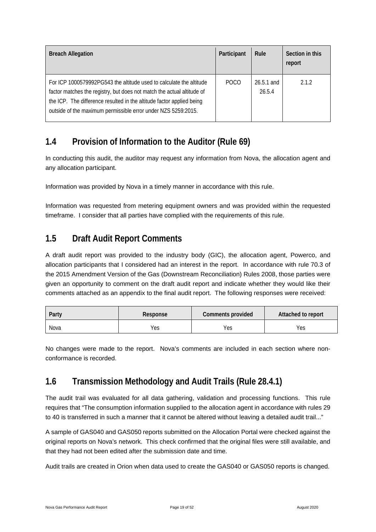| <b>Breach Allegation</b>                                                                                                                                                                                                                                                                | Participant | Rule                   | Section in this<br>report |
|-----------------------------------------------------------------------------------------------------------------------------------------------------------------------------------------------------------------------------------------------------------------------------------------|-------------|------------------------|---------------------------|
| For ICP 1000579992PG543 the altitude used to calculate the altitude<br>factor matches the registry, but does not match the actual altitude of<br>the ICP. The difference resulted in the altitude factor applied being<br>outside of the maximum permissible error under NZS 5259:2015. | POCO        | $26.5.1$ and<br>26.5.4 | $212$                     |

### <span id="page-18-0"></span>**1.4 Provision of Information to the Auditor (Rule 69)**

In conducting this audit, the auditor may request any information from Nova, the allocation agent and any allocation participant.

Information was provided by Nova in a timely manner in accordance with this rule.

Information was requested from metering equipment owners and was provided within the requested timeframe. I consider that all parties have complied with the requirements of this rule.

### <span id="page-18-1"></span>**1.5 Draft Audit Report Comments**

A draft audit report was provided to the industry body (GIC), the allocation agent, Powerco, and allocation participants that I considered had an interest in the report. In accordance with rule 70.3 of the 2015 Amendment Version of the Gas (Downstream Reconciliation) Rules 2008, those parties were given an opportunity to comment on the draft audit report and indicate whether they would like their comments attached as an appendix to the final audit report. The following responses were received:

| Party | Response | Comments provided | Attached to report |
|-------|----------|-------------------|--------------------|
| Nova  | Yes      | Yes               | Yes                |

No changes were made to the report. Nova's comments are included in each section where nonconformance is recorded.

### <span id="page-18-2"></span>**1.6 Transmission Methodology and Audit Trails (Rule 28.4.1)**

The audit trail was evaluated for all data gathering, validation and processing functions. This rule requires that "The consumption information supplied to the allocation agent in accordance with rules 29 to 40 is transferred in such a manner that it cannot be altered without leaving a detailed audit trail..."

A sample of GAS040 and GAS050 reports submitted on the Allocation Portal were checked against the original reports on Nova's network. This check confirmed that the original files were still available, and that they had not been edited after the submission date and time.

Audit trails are created in Orion when data used to create the GAS040 or GAS050 reports is changed.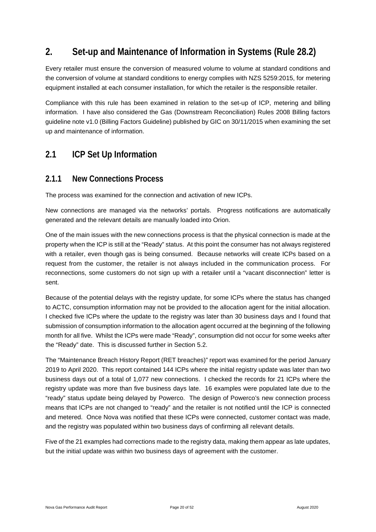### <span id="page-19-0"></span>**2. Set-up and Maintenance of Information in Systems (Rule 28.2)**

Every retailer must ensure the conversion of measured volume to volume at standard conditions and the conversion of volume at standard conditions to energy complies with NZS 5259:2015, for metering equipment installed at each consumer installation, for which the retailer is the responsible retailer.

Compliance with this rule has been examined in relation to the set-up of ICP, metering and billing information. I have also considered the Gas (Downstream Reconciliation) Rules 2008 Billing factors guideline note v1.0 (Billing Factors Guideline) published by GIC on 30/11/2015 when examining the set up and maintenance of information.

### <span id="page-19-1"></span>**2.1 ICP Set Up Information**

#### <span id="page-19-2"></span>**2.1.1 New Connections Process**

The process was examined for the connection and activation of new ICPs.

New connections are managed via the networks' portals. Progress notifications are automatically generated and the relevant details are manually loaded into Orion.

One of the main issues with the new connections process is that the physical connection is made at the property when the ICP is still at the "Ready" status. At this point the consumer has not always registered with a retailer, even though gas is being consumed. Because networks will create ICPs based on a request from the customer, the retailer is not always included in the communication process. For reconnections, some customers do not sign up with a retailer until a "vacant disconnection" letter is sent.

Because of the potential delays with the registry update, for some ICPs where the status has changed to ACTC, consumption information may not be provided to the allocation agent for the initial allocation. I checked five ICPs where the update to the registry was later than 30 business days and I found that submission of consumption information to the allocation agent occurred at the beginning of the following month for all five. Whilst the ICPs were made "Ready", consumption did not occur for some weeks after the "Ready" date. This is discussed further in Section 5.2.

The "Maintenance Breach History Report (RET breaches)" report was examined for the period January 2019 to April 2020. This report contained 144 ICPs where the initial registry update was later than two business days out of a total of 1,077 new connections. I checked the records for 21 ICPs where the registry update was more than five business days late. 16 examples were populated late due to the "ready" status update being delayed by Powerco. The design of Powerco's new connection process means that ICPs are not changed to "ready" and the retailer is not notified until the ICP is connected and metered. Once Nova was notified that these ICPs were connected, customer contact was made, and the registry was populated within two business days of confirming all relevant details.

Five of the 21 examples had corrections made to the registry data, making them appear as late updates, but the initial update was within two business days of agreement with the customer.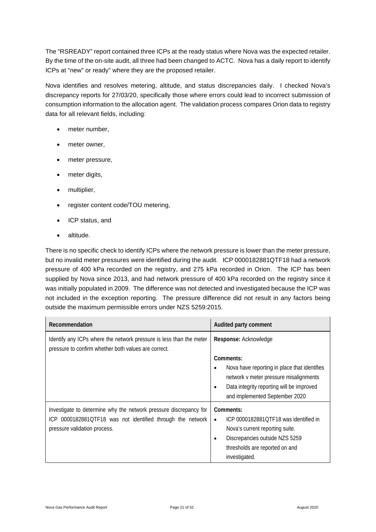The "RSREADY" report contained three ICPs at the ready status where Nova was the expected retailer. By the time of the on-site audit, all three had been changed to ACTC. Nova has a daily report to identify ICPs at "new" or ready" where they are the proposed retailer.

Nova identifies and resolves metering, altitude, and status discrepancies daily. I checked Nova's discrepancy reports for 27/03/20, specifically those where errors could lead to incorrect submission of consumption information to the allocation agent. The validation process compares Orion data to registry data for all relevant fields, including:

- meter number.
- meter owner,
- meter pressure,
- meter digits,
- multiplier,
- register content code/TOU metering,
- ICP status, and
- altitude.

There is no specific check to identify ICPs where the network pressure is lower than the meter pressure, but no invalid meter pressures were identified during the audit. ICP 0000182881QTF18 had a network pressure of 400 kPa recorded on the registry, and 275 kPa recorded in Orion. The ICP has been supplied by Nova since 2013, and had network pressure of 400 kPa recorded on the registry since it was initially populated in 2009. The difference was not detected and investigated because the ICP was not included in the exception reporting. The pressure difference did not result in any factors being outside the maximum permissible errors under NZS 5259:2015.

| Recommendation                                                                                                                                                  | Audited party comment                                                                                                                                                                                |
|-----------------------------------------------------------------------------------------------------------------------------------------------------------------|------------------------------------------------------------------------------------------------------------------------------------------------------------------------------------------------------|
| Identify any ICPs where the network pressure is less than the meter<br>pressure to confirm whether both values are correct.                                     | Response: Acknowledge                                                                                                                                                                                |
|                                                                                                                                                                 | Comments:<br>Nova have reporting in place that identifies<br>٠<br>network v meter pressure misalignments<br>Data integrity reporting will be improved<br>$\bullet$<br>and implemented September 2020 |
| Investigate to determine why the network pressure discrepancy for<br>ICP 0000182881QTF18 was not identified through the network<br>pressure validation process. | Comments:<br>ICP 0000182881OTF18 was identified in<br>$\bullet$<br>Nova's current reporting suite.<br>Discrepancies outside NZS 5259<br>٠<br>thresholds are reported on and<br>investigated.         |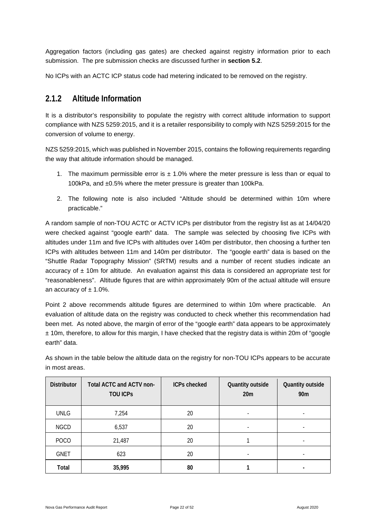Aggregation factors (including gas gates) are checked against registry information prior to each submission. The pre submission checks are discussed further in **section 5.2**.

No ICPs with an ACTC ICP status code had metering indicated to be removed on the registry.

#### <span id="page-21-0"></span>**2.1.2 Altitude Information**

It is a distributor's responsibility to populate the registry with correct altitude information to support compliance with NZS 5259:2015, and it is a retailer responsibility to comply with NZS 5259:2015 for the conversion of volume to energy.

NZS 5259:2015, which was published in November 2015, contains the following requirements regarding the way that altitude information should be managed.

- 1. The maximum permissible error is  $\pm$  1.0% where the meter pressure is less than or equal to 100kPa, and ±0.5% where the meter pressure is greater than 100kPa.
- 2. The following note is also included "Altitude should be determined within 10m where practicable."

A random sample of non-TOU ACTC or ACTV ICPs per distributor from the registry list as at 14/04/20 were checked against "google earth" data. The sample was selected by choosing five ICPs with altitudes under 11m and five ICPs with altitudes over 140m per distributor, then choosing a further ten ICPs with altitudes between 11m and 140m per distributor. The "google earth" data is based on the "Shuttle Radar Topography Mission" (SRTM) results and a number of recent studies indicate an accuracy of  $\pm$  10m for altitude. An evaluation against this data is considered an appropriate test for "reasonableness". Altitude figures that are within approximately 90m of the actual altitude will ensure an accuracy of  $\pm$  1.0%.

Point 2 above recommends altitude figures are determined to within 10m where practicable. An evaluation of altitude data on the registry was conducted to check whether this recommendation had been met. As noted above, the margin of error of the "google earth" data appears to be approximately  $± 10m$ , therefore, to allow for this margin, I have checked that the registry data is within 20m of "google" earth" data.

As shown in the table below the altitude data on the registry for non-TOU ICPs appears to be accurate in most areas.

| <b>Distributor</b> | Total ACTC and ACTV non-<br><b>TOU ICPS</b> | <b>ICPs checked</b> | Quantity outside<br>20m  | Quantity outside<br>90 <sub>m</sub> |
|--------------------|---------------------------------------------|---------------------|--------------------------|-------------------------------------|
| <b>UNLG</b>        | 7,254                                       | 20                  | $\overline{\phantom{a}}$ |                                     |
| <b>NGCD</b>        | 6,537                                       | 20                  |                          |                                     |
| POCO               | 21,487                                      | 20                  |                          |                                     |
| <b>GNET</b>        | 623                                         | 20                  | $\overline{\phantom{0}}$ |                                     |
| Total              | 35,995                                      | 80                  |                          |                                     |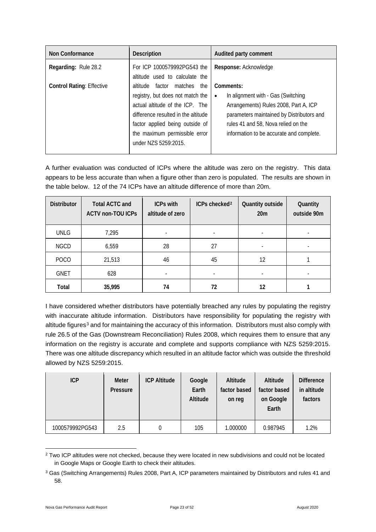| Non Conformance                  | <b>Description</b>                                                                                                                                                                                                                    | Audited party comment                                                                                                                                                                                                                 |
|----------------------------------|---------------------------------------------------------------------------------------------------------------------------------------------------------------------------------------------------------------------------------------|---------------------------------------------------------------------------------------------------------------------------------------------------------------------------------------------------------------------------------------|
| Regarding: Rule 28.2             | For ICP 1000579992PG543 the<br>altitude used to calculate the                                                                                                                                                                         | Response: Acknowledge                                                                                                                                                                                                                 |
| <b>Control Rating: Effective</b> | altitude factor matches the<br>registry, but does not match the<br>actual altitude of the ICP. The<br>difference resulted in the altitude<br>factor applied being outside of<br>the maximum permissible error<br>under NZS 5259:2015. | Comments:<br>In alignment with - Gas (Switching<br>$\bullet$<br>Arrangements) Rules 2008, Part A, ICP<br>parameters maintained by Distributors and<br>rules 41 and 58, Nova relied on the<br>information to be accurate and complete. |

A further evaluation was conducted of ICPs where the altitude was zero on the registry. This data appears to be less accurate than when a figure other than zero is populated. The results are shown in the table below. 12 of the 74 ICPs have an altitude difference of more than 20m.

| <b>Distributor</b> | <b>Total ACTC and</b><br><b>ACTV non-TOU ICPs</b> | <b>ICPs with</b><br>altitude of zero | ICPs checked <sup>2</sup> | Quantity outside<br>20 <sub>m</sub> | Quantity<br>outside 90m  |
|--------------------|---------------------------------------------------|--------------------------------------|---------------------------|-------------------------------------|--------------------------|
| <b>UNLG</b>        | 7,295                                             |                                      | $\overline{\phantom{a}}$  | $\overline{\phantom{0}}$            | $\overline{\phantom{a}}$ |
| <b>NGCD</b>        | 6,559                                             | 28                                   | 27                        |                                     |                          |
| <b>POCO</b>        | 21,513                                            | 46                                   | 45                        | 12                                  |                          |
| <b>GNET</b>        | 628                                               |                                      | $\overline{\phantom{a}}$  | $\overline{\phantom{0}}$            |                          |
| Total              | 35,995                                            | 74                                   | 72                        | 12                                  |                          |

I have considered whether distributors have potentially breached any rules by populating the registry with inaccurate altitude information. Distributors have responsibility for populating the registry with altitude figures<sup>[3](#page-22-1)</sup> and for maintaining the accuracy of this information. Distributors must also comply with rule 26.5 of the Gas (Downstream Reconciliation) Rules 2008, which requires them to ensure that any information on the registry is accurate and complete and supports compliance with NZS 5259:2015. There was one altitude discrepancy which resulted in an altitude factor which was outside the threshold allowed by NZS 5259:2015.

| ICP             | <b>Meter</b><br>Pressure | <b>ICP Altitude</b> | Google<br>Earth<br>Altitude | Altitude<br>factor based<br>on reg | Altitude<br>factor based<br>on Google<br>Earth | <b>Difference</b><br>in altitude<br>factors |
|-----------------|--------------------------|---------------------|-----------------------------|------------------------------------|------------------------------------------------|---------------------------------------------|
| 1000579992PG543 | 2.5                      | 0                   | 105                         | 1.000000                           | 0.987945                                       | 1.2%                                        |

<span id="page-22-0"></span><sup>&</sup>lt;sup>2</sup> Two ICP altitudes were not checked, because they were located in new subdivisions and could not be located in Google Maps or Google Earth to check their altitudes.

<span id="page-22-1"></span><sup>3</sup> Gas (Switching Arrangements) Rules 2008, Part A, ICP parameters maintained by Distributors and rules 41 and 58.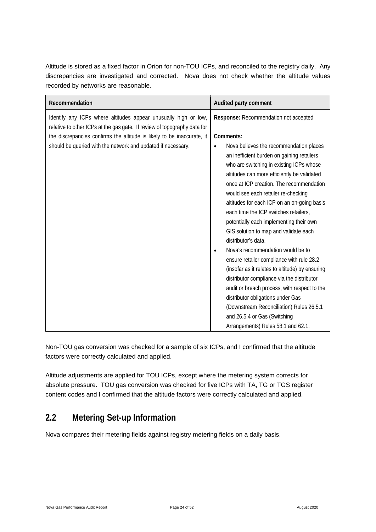Altitude is stored as a fixed factor in Orion for non-TOU ICPs, and reconciled to the registry daily. Any discrepancies are investigated and corrected. Nova does not check whether the altitude values recorded by networks are reasonable.

| Recommendation                                                                                                                                                                                                                                                                        | Audited party comment                                                                                                                                                                                                                                                                                                                                                                                             |
|---------------------------------------------------------------------------------------------------------------------------------------------------------------------------------------------------------------------------------------------------------------------------------------|-------------------------------------------------------------------------------------------------------------------------------------------------------------------------------------------------------------------------------------------------------------------------------------------------------------------------------------------------------------------------------------------------------------------|
| Identify any ICPs where altitudes appear unusually high or low,<br>relative to other ICPs at the gas gate. If review of topography data for<br>the discrepancies confirms the altitude is likely to be inaccurate, it<br>should be queried with the network and updated if necessary. | Response: Recommendation not accepted<br>Comments:<br>Nova believes the recommendation places<br>an inefficient burden on gaining retailers<br>who are switching in existing ICPs whose<br>altitudes can more efficiently be validated<br>once at ICP creation. The recommendation<br>would see each retailer re-checking<br>altitudes for each ICP on an on-going basis<br>each time the ICP switches retailers, |
|                                                                                                                                                                                                                                                                                       | potentially each implementing their own<br>GIS solution to map and validate each<br>distributor's data.                                                                                                                                                                                                                                                                                                           |
|                                                                                                                                                                                                                                                                                       | Nova's recommendation would be to<br>$\bullet$<br>ensure retailer compliance with rule 28.2<br>(insofar as it relates to altitude) by ensuring<br>distributor compliance via the distributor<br>audit or breach process, with respect to the<br>distributor obligations under Gas<br>(Downstream Reconciliation) Rules 26.5.1<br>and 26.5.4 or Gas (Switching<br>Arrangements) Rules 58.1 and 62.1.               |

Non-TOU gas conversion was checked for a sample of six ICPs, and I confirmed that the altitude factors were correctly calculated and applied.

Altitude adjustments are applied for TOU ICPs, except where the metering system corrects for absolute pressure. TOU gas conversion was checked for five ICPs with TA, TG or TGS register content codes and I confirmed that the altitude factors were correctly calculated and applied.

### <span id="page-23-0"></span>**2.2 Metering Set-up Information**

Nova compares their metering fields against registry metering fields on a daily basis.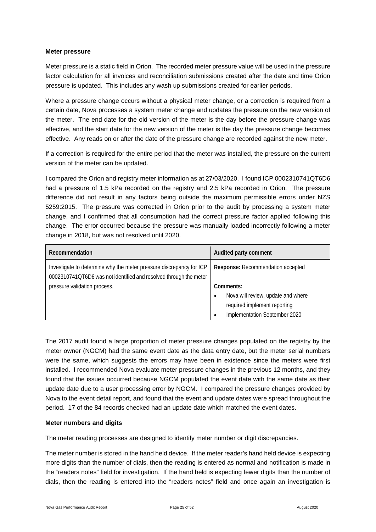#### **Meter pressure**

Meter pressure is a static field in Orion. The recorded meter pressure value will be used in the pressure factor calculation for all invoices and reconciliation submissions created after the date and time Orion pressure is updated. This includes any wash up submissions created for earlier periods.

Where a pressure change occurs without a physical meter change, or a correction is required from a certain date, Nova processes a system meter change and updates the pressure on the new version of the meter. The end date for the old version of the meter is the day before the pressure change was effective, and the start date for the new version of the meter is the day the pressure change becomes effective. Any reads on or after the date of the pressure change are recorded against the new meter.

If a correction is required for the entire period that the meter was installed, the pressure on the current version of the meter can be updated.

I compared the Orion and registry meter information as at 27/03/2020. I found ICP 0002310741QT6D6 had a pressure of 1.5 kPa recorded on the registry and 2.5 kPa recorded in Orion. The pressure difference did not result in any factors being outside the maximum permissible errors under NZS 5259:2015. The pressure was corrected in Orion prior to the audit by processing a system meter change, and I confirmed that all consumption had the correct pressure factor applied following this change. The error occurred because the pressure was manually loaded incorrectly following a meter change in 2018, but was not resolved until 2020.

| Recommendation                                                                                                                           | Audited party comment                           |
|------------------------------------------------------------------------------------------------------------------------------------------|-------------------------------------------------|
| Investigate to determine why the meter pressure discrepancy for ICP<br>0002310741QT6D6 was not identified and resolved through the meter | Response: Recommendation accepted               |
| pressure validation process.                                                                                                             | Comments:                                       |
|                                                                                                                                          | Nova will review, update and where<br>$\bullet$ |
|                                                                                                                                          | required implement reporting                    |
|                                                                                                                                          | Implementation September 2020<br>$\bullet$      |

The 2017 audit found a large proportion of meter pressure changes populated on the registry by the meter owner (NGCM) had the same event date as the data entry date, but the meter serial numbers were the same, which suggests the errors may have been in existence since the meters were first installed. I recommended Nova evaluate meter pressure changes in the previous 12 months, and they found that the issues occurred because NGCM populated the event date with the same date as their update date due to a user processing error by NGCM. I compared the pressure changes provided by Nova to the event detail report, and found that the event and update dates were spread throughout the period. 17 of the 84 records checked had an update date which matched the event dates.

#### **Meter numbers and digits**

The meter reading processes are designed to identify meter number or digit discrepancies.

The meter number is stored in the hand held device. If the meter reader's hand held device is expecting more digits than the number of dials, then the reading is entered as normal and notification is made in the "readers notes" field for investigation. If the hand held is expecting fewer digits than the number of dials, then the reading is entered into the "readers notes" field and once again an investigation is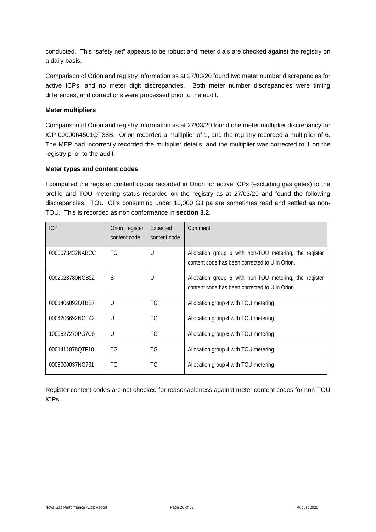conducted. This "safety net" appears to be robust and meter dials are checked against the registry on a daily basis.

Comparison of Orion and registry information as at 27/03/20 found two meter number discrepancies for active ICPs, and no meter digit discrepancies. Both meter number discrepancies were timing differences, and corrections were processed prior to the audit.

#### **Meter multipliers**

Comparison of Orion and registry information as at 27/03/20 found one meter multiplier discrepancy for ICP 0000064501QT38B. Orion recorded a multiplier of 1, and the registry recorded a multiplier of 6. The MEP had incorrectly recorded the multiplier details, and the multiplier was corrected to 1 on the registry prior to the audit.

#### **Meter types and content codes**

I compared the register content codes recorded in Orion for active ICPs (excluding gas gates) to the profile and TOU metering status recorded on the registry as at 27/03/20 and found the following discrepancies. TOU ICPs consuming under 10,000 GJ pa are sometimes read and settled as non-TOU. This is recorded as non conformance in **section 3.2**.

| <b>ICP</b>      | Orion register<br>content code | Expected<br>content code | Comment                                                                                                  |
|-----------------|--------------------------------|--------------------------|----------------------------------------------------------------------------------------------------------|
| 0000073432NABCC | TG                             | U                        | Allocation group 6 with non-TOU metering, the register<br>content code has been corrected to U in Orion. |
| 0002028780NGB22 | S                              | U                        | Allocation group 6 with non-TOU metering, the register<br>content code has been corrected to U in Orion. |
| 0001406092OTBB7 | $\cup$                         | TG.                      | Allocation group 4 with TOU metering                                                                     |
| 0004206692NGE42 | $\cup$                         | TG                       | Allocation group 4 with TOU metering                                                                     |
| 1000527270PG7C6 | $\cup$                         | TG                       | Allocation group 6 with TOU metering                                                                     |
| 0001411878OTF10 | TG                             | TG                       | Allocation group 4 with TOU metering                                                                     |
| 0008000037NG731 | TG                             | TG                       | Allocation group 4 with TOU metering                                                                     |

Register content codes are not checked for reasonableness against meter content codes for non-TOU ICPs.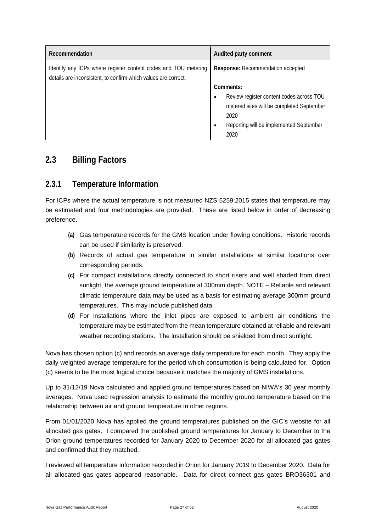| Recommendation                                                                                                                    | Audited party comment                                                                                                                                                                   |
|-----------------------------------------------------------------------------------------------------------------------------------|-----------------------------------------------------------------------------------------------------------------------------------------------------------------------------------------|
| Identify any ICPs where register content codes and TOU metering<br>details are inconsistent, to confirm which values are correct. | Response: Recommendation accepted                                                                                                                                                       |
|                                                                                                                                   | Comments:<br>Review register content codes across TOU<br>$\bullet$<br>metered sites will be completed September<br>2020<br>Reporting will be implemented September<br>$\bullet$<br>2020 |

#### <span id="page-26-0"></span>**2.3 Billing Factors**

#### <span id="page-26-1"></span>**2.3.1 Temperature Information**

For ICPs where the actual temperature is not measured NZS 5259:2015 states that temperature may be estimated and four methodologies are provided. These are listed below in order of decreasing preference.

- **(a)** Gas temperature records for the GMS location under flowing conditions. Historic records can be used if similarity is preserved.
- **(b)** Records of actual gas temperature in similar installations at similar locations over corresponding periods.
- **(c)** For compact installations directly connected to short risers and well shaded from direct sunlight, the average ground temperature at 300mm depth. NOTE – Reliable and relevant climatic temperature data may be used as a basis for estimating average 300mm ground temperatures. This may include published data.
- **(d)** For installations where the inlet pipes are exposed to ambient air conditions the temperature may be estimated from the mean temperature obtained at reliable and relevant weather recording stations. The installation should be shielded from direct sunlight.

Nova has chosen option (c) and records an average daily temperature for each month. They apply the daily weighted average temperature for the period which consumption is being calculated for. Option (c) seems to be the most logical choice because it matches the majority of GMS installations.

Up to 31/12/19 Nova calculated and applied ground temperatures based on NIWA's 30 year monthly averages. Nova used regression analysis to estimate the monthly ground temperature based on the relationship between air and ground temperature in other regions.

From 01/01/2020 Nova has applied the ground temperatures published on the GIC's website for all allocated gas gates. I compared the published ground temperatures for January to December to the Orion ground temperatures recorded for January 2020 to December 2020 for all allocated gas gates and confirmed that they matched.

I reviewed all temperature information recorded in Orion for January 2019 to December 2020. Data for all allocated gas gates appeared reasonable. Data for direct connect gas gates BRO36301 and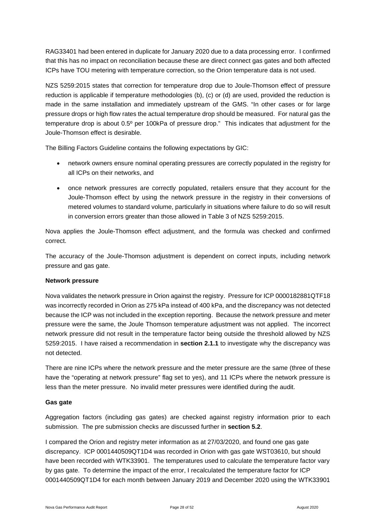RAG33401 had been entered in duplicate for January 2020 due to a data processing error. I confirmed that this has no impact on reconciliation because these are direct connect gas gates and both affected ICPs have TOU metering with temperature correction, so the Orion temperature data is not used.

NZS 5259:2015 states that correction for temperature drop due to Joule-Thomson effect of pressure reduction is applicable if temperature methodologies (b), (c) or (d) are used, provided the reduction is made in the same installation and immediately upstream of the GMS. "In other cases or for large pressure drops or high flow rates the actual temperature drop should be measured. For natural gas the temperature drop is about 0.5º per 100kPa of pressure drop." This indicates that adjustment for the Joule-Thomson effect is desirable.

The Billing Factors Guideline contains the following expectations by GIC:

- network owners ensure nominal operating pressures are correctly populated in the registry for all ICPs on their networks, and
- once network pressures are correctly populated, retailers ensure that they account for the Joule-Thomson effect by using the network pressure in the registry in their conversions of metered volumes to standard volume, particularly in situations where failure to do so will result in conversion errors greater than those allowed in Table 3 of NZS 5259:2015.

Nova applies the Joule-Thomson effect adjustment, and the formula was checked and confirmed correct.

The accuracy of the Joule-Thomson adjustment is dependent on correct inputs, including network pressure and gas gate.

#### **Network pressure**

Nova validates the network pressure in Orion against the registry. Pressure for ICP 0000182881QTF18 was incorrectly recorded in Orion as 275 kPa instead of 400 kPa, and the discrepancy was not detected because the ICP was not included in the exception reporting. Because the network pressure and meter pressure were the same, the Joule Thomson temperature adjustment was not applied. The incorrect network pressure did not result in the temperature factor being outside the threshold allowed by NZS 5259:2015. I have raised a recommendation in **section 2.1.1** to investigate why the discrepancy was not detected.

There are nine ICPs where the network pressure and the meter pressure are the same (three of these have the "operating at network pressure" flag set to yes), and 11 ICPs where the network pressure is less than the meter pressure. No invalid meter pressures were identified during the audit.

#### **Gas gate**

Aggregation factors (including gas gates) are checked against registry information prior to each submission. The pre submission checks are discussed further in **section 5.2**.

I compared the Orion and registry meter information as at 27/03/2020, and found one gas gate discrepancy. ICP 0001440509QT1D4 was recorded in Orion with gas gate WST03610, but should have been recorded with WTK33901. The temperatures used to calculate the temperature factor vary by gas gate. To determine the impact of the error, I recalculated the temperature factor for ICP 0001440509QT1D4 for each month between January 2019 and December 2020 using the WTK33901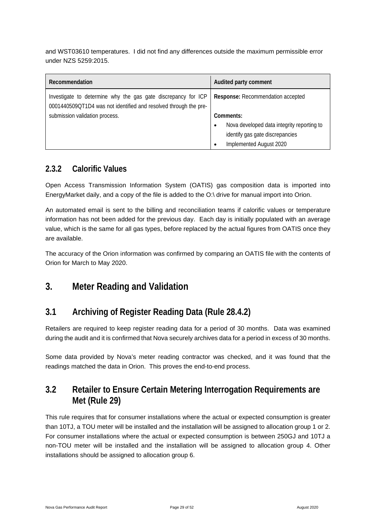and WST03610 temperatures. I did not find any differences outside the maximum permissible error under NZS 5259:2015.

| Recommendation                                                                                                                    | Audited party comment                           |
|-----------------------------------------------------------------------------------------------------------------------------------|-------------------------------------------------|
| Investigate to determine why the gas gate discrepancy for ICP<br>0001440509QT1D4 was not identified and resolved through the pre- | Response: Recommendation accepted               |
| submission validation process.                                                                                                    | Comments:                                       |
|                                                                                                                                   | Nova developed data integrity reporting to<br>٠ |
|                                                                                                                                   | identify gas gate discrepancies                 |
|                                                                                                                                   | Implemented August 2020<br>٠                    |

#### <span id="page-28-0"></span>**2.3.2 Calorific Values**

Open Access Transmission Information System (OATIS) gas composition data is imported into EnergyMarket daily, and a copy of the file is added to the O:\ drive for manual import into Orion.

An automated email is sent to the billing and reconciliation teams if calorific values or temperature information has not been added for the previous day. Each day is initially populated with an average value, which is the same for all gas types, before replaced by the actual figures from OATIS once they are available.

The accuracy of the Orion information was confirmed by comparing an OATIS file with the contents of Orion for March to May 2020.

#### <span id="page-28-1"></span>**3. Meter Reading and Validation**

#### <span id="page-28-2"></span>**3.1 Archiving of Register Reading Data (Rule 28.4.2)**

Retailers are required to keep register reading data for a period of 30 months. Data was examined during the audit and it is confirmed that Nova securely archives data for a period in excess of 30 months.

Some data provided by Nova's meter reading contractor was checked, and it was found that the readings matched the data in Orion. This proves the end-to-end process.

### <span id="page-28-3"></span>**3.2 Retailer to Ensure Certain Metering Interrogation Requirements are Met (Rule 29)**

This rule requires that for consumer installations where the actual or expected consumption is greater than 10TJ, a TOU meter will be installed and the installation will be assigned to allocation group 1 or 2. For consumer installations where the actual or expected consumption is between 250GJ and 10TJ a non-TOU meter will be installed and the installation will be assigned to allocation group 4. Other installations should be assigned to allocation group 6.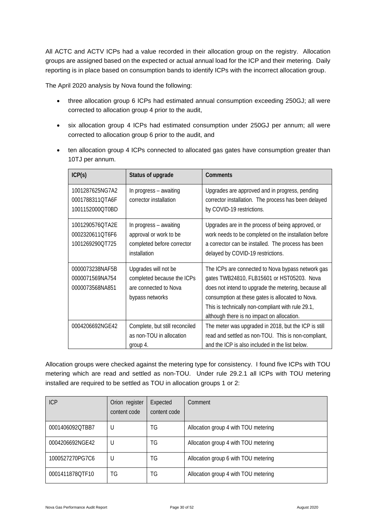All ACTC and ACTV ICPs had a value recorded in their allocation group on the registry. Allocation groups are assigned based on the expected or actual annual load for the ICP and their metering. Daily reporting is in place based on consumption bands to identify ICPs with the incorrect allocation group.

The April 2020 analysis by Nova found the following:

- three allocation group 6 ICPs had estimated annual consumption exceeding 250GJ; all were corrected to allocation group 4 prior to the audit,
- six allocation group 4 ICPs had estimated consumption under 250GJ per annum; all were corrected to allocation group 6 prior to the audit, and
- ten allocation group 4 ICPs connected to allocated gas gates have consumption greater than 10TJ per annum.

| ICP(s)                                                | Status of upgrade                                                                              | <b>Comments</b>                                                                                                                                                                                                                                                                                                |
|-------------------------------------------------------|------------------------------------------------------------------------------------------------|----------------------------------------------------------------------------------------------------------------------------------------------------------------------------------------------------------------------------------------------------------------------------------------------------------------|
| 1001287625NG7A2<br>0001788311QTA6F<br>1001152000QT0BD | In progress - awaiting<br>corrector installation                                               | Upgrades are approved and in progress, pending<br>corrector installation. The process has been delayed<br>by COVID-19 restrictions.                                                                                                                                                                            |
| 1001290576QTA2E<br>0002320611QT6F6<br>1001269290QT725 | In progress - awaiting<br>approval or work to be<br>completed before corrector<br>installation | Upgrades are in the process of being approved, or<br>work needs to be completed on the installation before<br>a corrector can be installed. The process has been<br>delayed by COVID-19 restrictions.                                                                                                          |
| 0000073238NAF5B<br>0000071569NA754<br>0000073568NA851 | Upgrades will not be<br>completed because the ICPs<br>are connected to Nova<br>bypass networks | The ICPs are connected to Nova bypass network gas<br>gates TWB24810, FLB15601 or HST05203. Nova<br>does not intend to upgrade the metering, because all<br>consumption at these gates is allocated to Nova.<br>This is technically non-compliant with rule 29.1,<br>although there is no impact on allocation. |
| 0004206692NGE42                                       | Complete, but still reconciled<br>as non-TOU in allocation<br>group 4.                         | The meter was upgraded in 2018, but the ICP is still<br>read and settled as non-TOU. This is non-compliant,<br>and the ICP is also included in the list below.                                                                                                                                                 |

Allocation groups were checked against the metering type for consistency. I found five ICPs with TOU metering which are read and settled as non-TOU. Under rule 29.2.1 all ICPs with TOU metering installed are required to be settled as TOU in allocation groups 1 or 2:

| <b>ICP</b>      | Orion register<br>content code | Expected<br>content code | Comment                              |
|-----------------|--------------------------------|--------------------------|--------------------------------------|
| 0001406092OTBB7 | U                              | ΤG                       | Allocation group 4 with TOU metering |
| 0004206692NGE42 |                                | ΤG                       | Allocation group 4 with TOU metering |
| 1000527270PG7C6 |                                | TG                       | Allocation group 6 with TOU metering |
| 0001411878QTF10 | TG                             | TG                       | Allocation group 4 with TOU metering |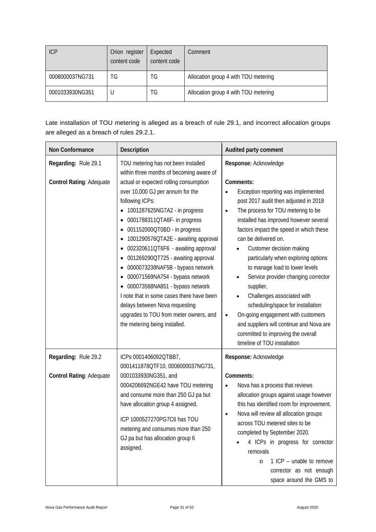| <b>ICP</b>      | Orion register<br>content code | Expected<br>content code | Comment                              |
|-----------------|--------------------------------|--------------------------|--------------------------------------|
| 0008000037NG731 | TG                             | ΤG                       | Allocation group 4 with TOU metering |
| 0001033930NG351 |                                | ΤG                       | Allocation group 4 with TOU metering |

Late installation of TOU metering is alleged as a breach of rule 29.1, and incorrect allocation groups are alleged as a breach of rules 29.2.1.

| Non Conformance                                  | Description                                                                                                                                                                                                                                                                                                                                                                                                                                                                                                                                                                                                                                                                                                           | Audited party comment                                                                                                                                                                                                                                                                                                                                                                                                                                                                                                                                                                                                                                                               |
|--------------------------------------------------|-----------------------------------------------------------------------------------------------------------------------------------------------------------------------------------------------------------------------------------------------------------------------------------------------------------------------------------------------------------------------------------------------------------------------------------------------------------------------------------------------------------------------------------------------------------------------------------------------------------------------------------------------------------------------------------------------------------------------|-------------------------------------------------------------------------------------------------------------------------------------------------------------------------------------------------------------------------------------------------------------------------------------------------------------------------------------------------------------------------------------------------------------------------------------------------------------------------------------------------------------------------------------------------------------------------------------------------------------------------------------------------------------------------------------|
| Regarding: Rule 29.1<br>Control Rating: Adequate | TOU metering has not been installed<br>within three months of becoming aware of<br>actual or expected rolling consumption<br>over 10,000 GJ per annum for the<br>following ICPs:<br>1001287625NG7A2 - in progress<br>٠<br>0001788311QTA6F- in progress<br>٠<br>001152000QT0BD - in progress<br>٠<br>1001290576QTA2E - awaiting approval<br>٠<br>002320611QT6F6 - awaiting approval<br>٠<br>001269290QT725 - awaiting approval<br>٠<br>0000073238NAF5B - bypass network<br>٠<br>000071569NA754 - bypass network<br>٠<br>000073568NA851 - bypass network<br>٠<br>I note that in some cases there have been<br>delays between Nova requesting<br>upgrades to TOU from meter owners, and<br>the metering being installed. | Response: Acknowledge<br>Comments:<br>Exception reporting was implemented<br>post 2017 audit then adjusted in 2018<br>The process for TOU metering to be<br>$\bullet$<br>installed has improved however several<br>factors impact the speed in which these<br>can be delivered on.<br>Customer decision making<br>particularly when exploring options<br>to manage load to lower levels<br>Service provider changing corrector<br>supplier,<br>Challenges associated with<br>scheduling/space for installation<br>On-going engagement with customers<br>$\bullet$<br>and suppliers will continue and Nova are<br>committed to improving the overall<br>timeline of TOU installation |
| Regarding: Rule 29.2<br>Control Rating: Adequate | ICPs 0001406092QTBB7,<br>0001411878QTF10, 0008000037NG731,<br>0001033930NG351, and<br>0004206692NGE42 have TOU metering<br>and consume more than 250 GJ pa but<br>have allocation group 4 assigned.<br>ICP 1000527270PG7C6 has TOU<br>metering and consumes more than 250<br>GJ pa but has allocation group 6<br>assigned.                                                                                                                                                                                                                                                                                                                                                                                            | Response: Acknowledge<br>Comments:<br>Nova has a process that reviews<br>$\bullet$<br>allocation groups against usage however<br>this has identified room for improvement.<br>Nova will review all allocation groups<br>across TOU metered sites to be<br>completed by September 2020.<br>4 ICPs in progress for corrector<br>removals<br>1 ICP - unable to remove<br>$\circ$<br>corrector as not enough<br>space around the GMS to                                                                                                                                                                                                                                                 |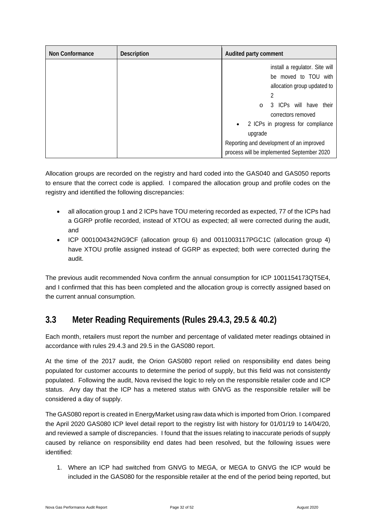| Non Conformance | <b>Description</b> | Audited party comment                                                                                                                                                                                                                                                                                        |
|-----------------|--------------------|--------------------------------------------------------------------------------------------------------------------------------------------------------------------------------------------------------------------------------------------------------------------------------------------------------------|
|                 |                    | install a regulator. Site will<br>be moved to TOU with<br>allocation group updated to<br>2<br>3 ICPs will have their<br>$\circ$<br>correctors removed<br>2 ICPs in progress for compliance<br>$\bullet$<br>upgrade<br>Reporting and development of an improved<br>process will be implemented September 2020 |

Allocation groups are recorded on the registry and hard coded into the GAS040 and GAS050 reports to ensure that the correct code is applied. I compared the allocation group and profile codes on the registry and identified the following discrepancies:

- all allocation group 1 and 2 ICPs have TOU metering recorded as expected, 77 of the ICPs had a GGRP profile recorded, instead of XTOU as expected; all were corrected during the audit, and
- ICP 0001004342NG9CF (allocation group 6) and 0011003117PGC1C (allocation group 4) have XTOU profile assigned instead of GGRP as expected; both were corrected during the audit.

The previous audit recommended Nova confirm the annual consumption for ICP 1001154173QT5E4, and I confirmed that this has been completed and the allocation group is correctly assigned based on the current annual consumption.

### <span id="page-31-0"></span>**3.3 Meter Reading Requirements (Rules 29.4.3, 29.5 & 40.2)**

Each month, retailers must report the number and percentage of validated meter readings obtained in accordance with rules 29.4.3 and 29.5 in the GAS080 report.

At the time of the 2017 audit, the Orion GAS080 report relied on responsibility end dates being populated for customer accounts to determine the period of supply, but this field was not consistently populated. Following the audit, Nova revised the logic to rely on the responsible retailer code and ICP status. Any day that the ICP has a metered status with GNVG as the responsible retailer will be considered a day of supply.

The GAS080 report is created in EnergyMarket using raw data which is imported from Orion. I compared the April 2020 GAS080 ICP level detail report to the registry list with history for 01/01/19 to 14/04/20, and reviewed a sample of discrepancies. I found that the issues relating to inaccurate periods of supply caused by reliance on responsibility end dates had been resolved, but the following issues were identified:

1. Where an ICP had switched from GNVG to MEGA, or MEGA to GNVG the ICP would be included in the GAS080 for the responsible retailer at the end of the period being reported, but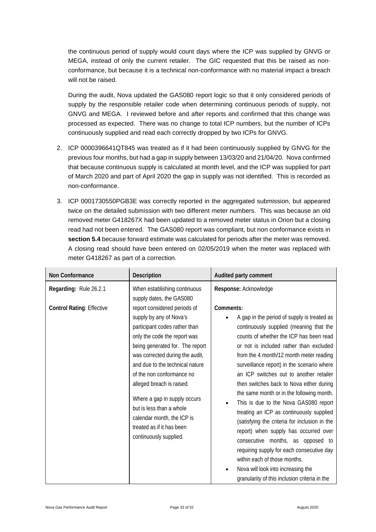the continuous period of supply would count days where the ICP was supplied by GNVG or MEGA, instead of only the current retailer. The GIC requested that this be raised as nonconformance, but because it is a technical non-conformance with no material impact a breach will not be raised.

During the audit, Nova updated the GAS080 report logic so that it only considered periods of supply by the responsible retailer code when determining continuous periods of supply, not GNVG and MEGA. I reviewed before and after reports and confirmed that this change was processed as expected. There was no change to total ICP numbers, but the number of ICPs continuously supplied and read each correctly dropped by two ICPs for GNVG.

- 2. ICP 0000396641QT845 was treated as if it had been continuously supplied by GNVG for the previous four months, but had a gap in supply between 13/03/20 and 21/04/20. Nova confirmed that because continuous supply is calculated at month level, and the ICP was supplied for part of March 2020 and part of April 2020 the gap in supply was not identified. This is recorded as non-conformance.
- 3. ICP 0001730550PGB3E was correctly reported in the aggregated submission, but appeared twice on the detailed submission with two different meter numbers. This was because an old removed meter G418267X had been updated to a removed meter status in Orion but a closing read had not been entered. The GAS080 report was compliant, but non conformance exists in **section 5.4** because forward estimate was calculated for periods after the meter was removed. A closing read should have been entered on 02/05/2019 when the meter was replaced with meter G418267 as part of a correction.

| Non Conformance                                            | <b>Description</b>                                                                                                                                                                                                                                                                                                                                                                                                                                                                                       | Audited party comment                                                                                                                                                                                                                                                                                                                                                                                                                                                                                                                                                                                                                                               |
|------------------------------------------------------------|----------------------------------------------------------------------------------------------------------------------------------------------------------------------------------------------------------------------------------------------------------------------------------------------------------------------------------------------------------------------------------------------------------------------------------------------------------------------------------------------------------|---------------------------------------------------------------------------------------------------------------------------------------------------------------------------------------------------------------------------------------------------------------------------------------------------------------------------------------------------------------------------------------------------------------------------------------------------------------------------------------------------------------------------------------------------------------------------------------------------------------------------------------------------------------------|
| Regarding: Rule 26.2.1<br><b>Control Rating: Effective</b> | When establishing continuous<br>supply dates, the GAS080<br>report considered periods of<br>supply by any of Nova's<br>participant codes rather than<br>only the code the report was<br>being generated for. The report<br>was corrected during the audit,<br>and due to the technical nature<br>of the non conformance no<br>alleged breach is raised.<br>Where a gap in supply occurs<br>but is less than a whole<br>calendar month, the ICP is<br>treated as if it has been<br>continuously supplied. | Response: Acknowledge<br>Comments:<br>A gap in the period of supply is treated as<br>continuously supplied (meaning that the<br>counts of whether the ICP has been read<br>or not is included rather than excluded<br>from the 4 month/12 month meter reading<br>surveillance report) in the scenario where<br>an ICP switches out to another retailer<br>then switches back to Nova either during<br>the same month or in the following month.<br>This is due to the Nova GAS080 report<br>treating an ICP as continuously supplied<br>(satisfying the criteria for inclusion in the<br>report) when supply has occurred over<br>consecutive months, as opposed to |
|                                                            |                                                                                                                                                                                                                                                                                                                                                                                                                                                                                                          | requiring supply for each consecutive day<br>within each of those months.<br>Nova will look into increasing the<br>granularity of this inclusion criteria in the                                                                                                                                                                                                                                                                                                                                                                                                                                                                                                    |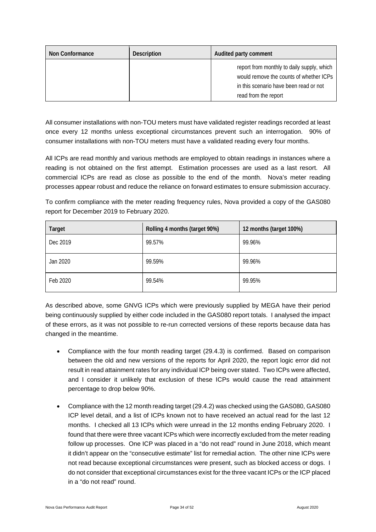| Non Conformance | <b>Description</b> | Audited party comment                                                                                                                                   |
|-----------------|--------------------|---------------------------------------------------------------------------------------------------------------------------------------------------------|
|                 |                    | report from monthly to daily supply, which<br>would remove the counts of whether ICPs<br>in this scenario have been read or not<br>read from the report |

All consumer installations with non-TOU meters must have validated register readings recorded at least once every 12 months unless exceptional circumstances prevent such an interrogation. 90% of consumer installations with non-TOU meters must have a validated reading every four months.

All ICPs are read monthly and various methods are employed to obtain readings in instances where a reading is not obtained on the first attempt. Estimation processes are used as a last resort. All commercial ICPs are read as close as possible to the end of the month. Nova's meter reading processes appear robust and reduce the reliance on forward estimates to ensure submission accuracy.

To confirm compliance with the meter reading frequency rules, Nova provided a copy of the GAS080 report for December 2019 to February 2020.

| Target   | Rolling 4 months (target 90%) | 12 months (target 100%) |
|----------|-------------------------------|-------------------------|
| Dec 2019 | 99.57%                        | 99.96%                  |
| Jan 2020 | 99.59%                        | 99.96%                  |
| Feb 2020 | 99.54%                        | 99.95%                  |

As described above, some GNVG ICPs which were previously supplied by MEGA have their period being continuously supplied by either code included in the GAS080 report totals. I analysed the impact of these errors, as it was not possible to re-run corrected versions of these reports because data has changed in the meantime.

- Compliance with the four month reading target (29.4.3) is confirmed. Based on comparison between the old and new versions of the reports for April 2020, the report logic error did not result in read attainment rates for any individual ICP being over stated. Two ICPs were affected, and I consider it unlikely that exclusion of these ICPs would cause the read attainment percentage to drop below 90%.
- Compliance with the 12 month reading target (29.4.2) was checked using the GAS080, GAS080 ICP level detail, and a list of ICPs known not to have received an actual read for the last 12 months. I checked all 13 ICPs which were unread in the 12 months ending February 2020. I found that there were three vacant ICPs which were incorrectly excluded from the meter reading follow up processes. One ICP was placed in a "do not read" round in June 2018, which meant it didn't appear on the "consecutive estimate" list for remedial action. The other nine ICPs were not read because exceptional circumstances were present, such as blocked access or dogs. I do not consider that exceptional circumstances exist for the three vacant ICPs or the ICP placed in a "do not read" round.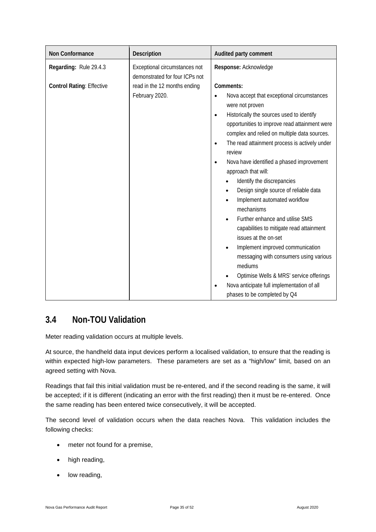| Non Conformance                  | Description                                                     | Audited party comment                                                                                                                                                                                                                                                                                                                                                                                                                                                                                                                                                                                                                                                                                                                                                                                                                                                  |
|----------------------------------|-----------------------------------------------------------------|------------------------------------------------------------------------------------------------------------------------------------------------------------------------------------------------------------------------------------------------------------------------------------------------------------------------------------------------------------------------------------------------------------------------------------------------------------------------------------------------------------------------------------------------------------------------------------------------------------------------------------------------------------------------------------------------------------------------------------------------------------------------------------------------------------------------------------------------------------------------|
| Regarding: Rule 29.4.3           | Exceptional circumstances not<br>demonstrated for four ICPs not | Response: Acknowledge                                                                                                                                                                                                                                                                                                                                                                                                                                                                                                                                                                                                                                                                                                                                                                                                                                                  |
| <b>Control Rating: Effective</b> | read in the 12 months ending<br>February 2020.                  | Comments:<br>Nova accept that exceptional circumstances<br>$\bullet$<br>were not proven<br>Historically the sources used to identify<br>$\bullet$<br>opportunities to improve read attainment were<br>complex and relied on multiple data sources.<br>The read attainment process is actively under<br>$\bullet$<br>review<br>Nova have identified a phased improvement<br>$\bullet$<br>approach that will:<br>Identify the discrepancies<br>Design single source of reliable data<br>Implement automated workflow<br>mechanisms<br>Further enhance and utilise SMS<br>$\bullet$<br>capabilities to mitigate read attainment<br>issues at the on-set<br>Implement improved communication<br>messaging with consumers using various<br>mediums<br>Optimise Wells & MRS' service offerings<br>Nova anticipate full implementation of all<br>phases to be completed by Q4 |

#### <span id="page-34-0"></span>**3.4 Non-TOU Validation**

Meter reading validation occurs at multiple levels.

At source, the handheld data input devices perform a localised validation, to ensure that the reading is within expected high-low parameters. These parameters are set as a "high/low" limit, based on an agreed setting with Nova.

Readings that fail this initial validation must be re-entered, and if the second reading is the same, it will be accepted; if it is different (indicating an error with the first reading) then it must be re-entered. Once the same reading has been entered twice consecutively, it will be accepted.

The second level of validation occurs when the data reaches Nova. This validation includes the following checks:

- meter not found for a premise,
- high reading,
- low reading,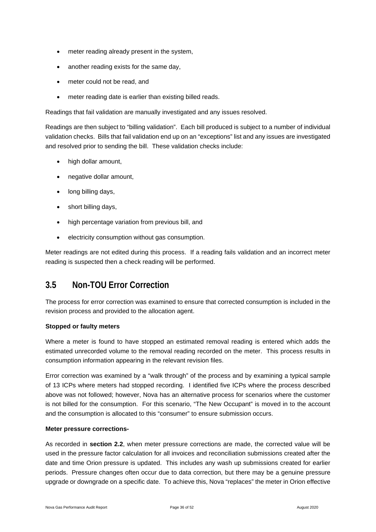- meter reading already present in the system,
- another reading exists for the same day,
- meter could not be read, and
- meter reading date is earlier than existing billed reads.

Readings that fail validation are manually investigated and any issues resolved.

Readings are then subject to "billing validation". Each bill produced is subject to a number of individual validation checks. Bills that fail validation end up on an "exceptions" list and any issues are investigated and resolved prior to sending the bill. These validation checks include:

- high dollar amount,
- negative dollar amount,
- long billing days,
- short billing days,
- high percentage variation from previous bill, and
- electricity consumption without gas consumption.

Meter readings are not edited during this process. If a reading fails validation and an incorrect meter reading is suspected then a check reading will be performed.

#### <span id="page-35-0"></span>**3.5 Non-TOU Error Correction**

The process for error correction was examined to ensure that corrected consumption is included in the revision process and provided to the allocation agent.

#### **Stopped or faulty meters**

Where a meter is found to have stopped an estimated removal reading is entered which adds the estimated unrecorded volume to the removal reading recorded on the meter. This process results in consumption information appearing in the relevant revision files.

Error correction was examined by a "walk through" of the process and by examining a typical sample of 13 ICPs where meters had stopped recording. I identified five ICPs where the process described above was not followed; however, Nova has an alternative process for scenarios where the customer is not billed for the consumption. For this scenario, "The New Occupant" is moved in to the account and the consumption is allocated to this "consumer" to ensure submission occurs.

#### **Meter pressure corrections-**

As recorded in **section 2.2**, when meter pressure corrections are made, the corrected value will be used in the pressure factor calculation for all invoices and reconciliation submissions created after the date and time Orion pressure is updated. This includes any wash up submissions created for earlier periods. Pressure changes often occur due to data correction, but there may be a genuine pressure upgrade or downgrade on a specific date. To achieve this, Nova "replaces" the meter in Orion effective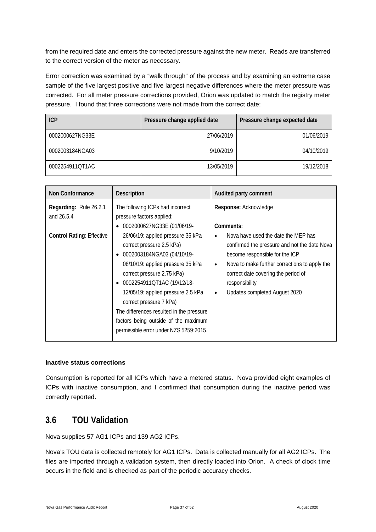from the required date and enters the corrected pressure against the new meter. Reads are transferred to the correct version of the meter as necessary.

Error correction was examined by a "walk through" of the process and by examining an extreme case sample of the five largest positive and five largest negative differences where the meter pressure was corrected. For all meter pressure corrections provided, Orion was updated to match the registry meter pressure. I found that three corrections were not made from the correct date:

| <b>ICP</b>      | Pressure change applied date | Pressure change expected date |
|-----------------|------------------------------|-------------------------------|
| 0002000627NG33E | 27/06/2019                   | 01/06/2019                    |
| 0002003184NGA03 | 9/10/2019                    | 04/10/2019                    |
| 0002254911QT1AC | 13/05/2019                   | 19/12/2018                    |

| <b>Non Conformance</b>                                                   | <b>Description</b>                                                                                                                                                                                                                                                                                                                                                                                                                                                                                                         | Audited party comment                                                                                                                                                                                                                                                                                                                 |
|--------------------------------------------------------------------------|----------------------------------------------------------------------------------------------------------------------------------------------------------------------------------------------------------------------------------------------------------------------------------------------------------------------------------------------------------------------------------------------------------------------------------------------------------------------------------------------------------------------------|---------------------------------------------------------------------------------------------------------------------------------------------------------------------------------------------------------------------------------------------------------------------------------------------------------------------------------------|
| Regarding: Rule 26.2.1<br>and 26.5.4<br><b>Control Rating: Effective</b> | The following ICPs had incorrect<br>pressure factors applied:<br>0002000627NG33E (01/06/19-<br>٠<br>26/06/19: applied pressure 35 kPa<br>correct pressure 2.5 kPa)<br>0002003184NGA03 (04/10/19-<br>$\bullet$<br>08/10/19: applied pressure 35 kPa<br>correct pressure 2.75 kPa)<br>0002254911QT1AC (19/12/18-<br>$\bullet$<br>12/05/19: applied pressure 2.5 kPa<br>correct pressure 7 kPa)<br>The differences resulted in the pressure<br>factors being outside of the maximum<br>permissible error under NZS 5259:2015. | Response: Acknowledge<br>Comments:<br>Nova have used the date the MEP has<br>$\bullet$<br>confirmed the pressure and not the date Nova<br>become responsible for the ICP<br>Nova to make further corrections to apply the<br>$\bullet$<br>correct date covering the period of<br>responsibility<br>Updates completed August 2020<br>٠ |

#### **Inactive status corrections**

Consumption is reported for all ICPs which have a metered status. Nova provided eight examples of ICPs with inactive consumption, and I confirmed that consumption during the inactive period was correctly reported.

#### <span id="page-36-0"></span>**3.6 TOU Validation**

Nova supplies 57 AG1 ICPs and 139 AG2 ICPs.

Nova's TOU data is collected remotely for AG1 ICPs. Data is collected manually for all AG2 ICPs. The files are imported through a validation system, then directly loaded into Orion. A check of clock time occurs in the field and is checked as part of the periodic accuracy checks.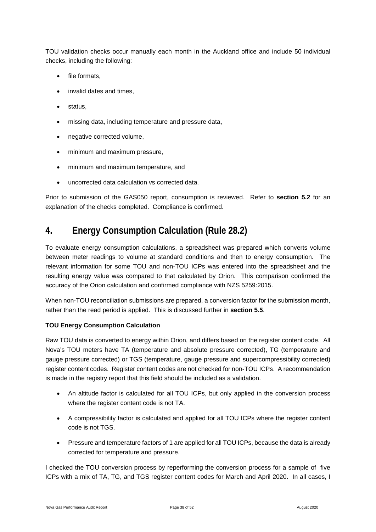TOU validation checks occur manually each month in the Auckland office and include 50 individual checks, including the following:

- file formats.
- invalid dates and times.
- status.
- missing data, including temperature and pressure data,
- negative corrected volume,
- minimum and maximum pressure,
- minimum and maximum temperature, and
- uncorrected data calculation vs corrected data.

Prior to submission of the GAS050 report, consumption is reviewed. Refer to **section 5.2** for an explanation of the checks completed. Compliance is confirmed.

### <span id="page-37-0"></span>**4. Energy Consumption Calculation (Rule 28.2)**

To evaluate energy consumption calculations, a spreadsheet was prepared which converts volume between meter readings to volume at standard conditions and then to energy consumption. The relevant information for some TOU and non-TOU ICPs was entered into the spreadsheet and the resulting energy value was compared to that calculated by Orion. This comparison confirmed the accuracy of the Orion calculation and confirmed compliance with NZS 5259:2015.

When non-TOU reconciliation submissions are prepared, a conversion factor for the submission month, rather than the read period is applied. This is discussed further in **section 5.5**.

#### **TOU Energy Consumption Calculation**

Raw TOU data is converted to energy within Orion, and differs based on the register content code. All Nova's TOU meters have TA (temperature and absolute pressure corrected), TG (temperature and gauge pressure corrected) or TGS (temperature, gauge pressure and supercompressibility corrected) register content codes. Register content codes are not checked for non-TOU ICPs. A recommendation is made in the registry report that this field should be included as a validation.

- An altitude factor is calculated for all TOU ICPs, but only applied in the conversion process where the register content code is not TA.
- A compressibility factor is calculated and applied for all TOU ICPs where the register content code is not TGS.
- Pressure and temperature factors of 1 are applied for all TOU ICPs, because the data is already corrected for temperature and pressure.

I checked the TOU conversion process by reperforming the conversion process for a sample of five ICPs with a mix of TA, TG, and TGS register content codes for March and April 2020. In all cases, I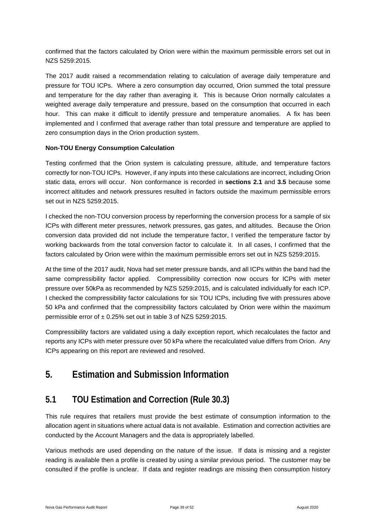confirmed that the factors calculated by Orion were within the maximum permissible errors set out in NZS 5259:2015.

The 2017 audit raised a recommendation relating to calculation of average daily temperature and pressure for TOU ICPs. Where a zero consumption day occurred, Orion summed the total pressure and temperature for the day rather than averaging it. This is because Orion normally calculates a weighted average daily temperature and pressure, based on the consumption that occurred in each hour. This can make it difficult to identify pressure and temperature anomalies. A fix has been implemented and I confirmed that average rather than total pressure and temperature are applied to zero consumption days in the Orion production system.

#### **Non-TOU Energy Consumption Calculation**

Testing confirmed that the Orion system is calculating pressure, altitude, and temperature factors correctly for non-TOU ICPs. However, if any inputs into these calculations are incorrect, including Orion static data, errors will occur. Non conformance is recorded in **sections 2.1** and **3.5** because some incorrect altitudes and network pressures resulted in factors outside the maximum permissible errors set out in NZS 5259:2015.

I checked the non-TOU conversion process by reperforming the conversion process for a sample of six ICPs with different meter pressures, network pressures, gas gates, and altitudes. Because the Orion conversion data provided did not include the temperature factor, I verified the temperature factor by working backwards from the total conversion factor to calculate it. In all cases, I confirmed that the factors calculated by Orion were within the maximum permissible errors set out in NZS 5259:2015.

At the time of the 2017 audit, Nova had set meter pressure bands, and all ICPs within the band had the same compressibility factor applied. Compressibility correction now occurs for ICPs with meter pressure over 50kPa as recommended by NZS 5259:2015, and is calculated individually for each ICP. I checked the compressibility factor calculations for six TOU ICPs, including five with pressures above 50 kPa and confirmed that the compressibility factors calculated by Orion were within the maximum permissible error of ± 0.25% set out in table 3 of NZS 5259:2015.

Compressibility factors are validated using a daily exception report, which recalculates the factor and reports any ICPs with meter pressure over 50 kPa where the recalculated value differs from Orion. Any ICPs appearing on this report are reviewed and resolved.

# <span id="page-38-0"></span>**5. Estimation and Submission Information**

#### <span id="page-38-1"></span>**5.1 TOU Estimation and Correction (Rule 30.3)**

This rule requires that retailers must provide the best estimate of consumption information to the allocation agent in situations where actual data is not available. Estimation and correction activities are conducted by the Account Managers and the data is appropriately labelled.

Various methods are used depending on the nature of the issue. If data is missing and a register reading is available then a profile is created by using a similar previous period. The customer may be consulted if the profile is unclear. If data and register readings are missing then consumption history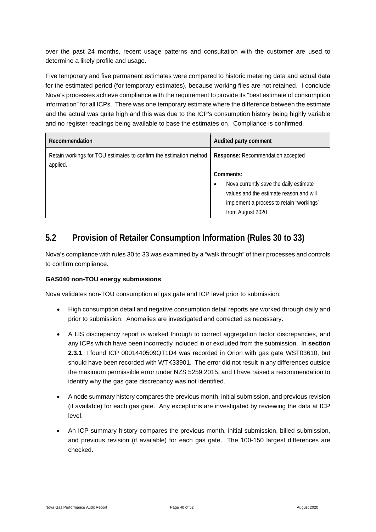over the past 24 months, recent usage patterns and consultation with the customer are used to determine a likely profile and usage.

Five temporary and five permanent estimates were compared to historic metering data and actual data for the estimated period (for temporary estimates), because working files are not retained. I conclude Nova's processes achieve compliance with the requirement to provide its "best estimate of consumption information" for all ICPs. There was one temporary estimate where the difference between the estimate and the actual was quite high and this was due to the ICP's consumption history being highly variable and no register readings being available to base the estimates on. Compliance is confirmed.

| Recommendation                                                                 | Audited party comment                       |
|--------------------------------------------------------------------------------|---------------------------------------------|
| Retain workings for TOU estimates to confirm the estimation method<br>applied. | Response: Recommendation accepted           |
|                                                                                | Comments:                                   |
|                                                                                | Nova currently save the daily estimate<br>٠ |
|                                                                                | values and the estimate reason and will     |
|                                                                                | implement a process to retain "workings"    |
|                                                                                | from August 2020                            |

### <span id="page-39-0"></span>**5.2 Provision of Retailer Consumption Information (Rules 30 to 33)**

Nova's compliance with rules 30 to 33 was examined by a "walk through" of their processes and controls to confirm compliance.

#### **GAS040 non-TOU energy submissions**

Nova validates non-TOU consumption at gas gate and ICP level prior to submission:

- High consumption detail and negative consumption detail reports are worked through daily and prior to submission. Anomalies are investigated and corrected as necessary.
- A LIS discrepancy report is worked through to correct aggregation factor discrepancies, and any ICPs which have been incorrectly included in or excluded from the submission. In **section 2.3.1**, I found ICP 0001440509QT1D4 was recorded in Orion with gas gate WST03610, but should have been recorded with WTK33901. The error did not result in any differences outside the maximum permissible error under NZS 5259:2015, and I have raised a recommendation to identify why the gas gate discrepancy was not identified.
- A node summary history compares the previous month, initial submission, and previous revision (if available) for each gas gate. Any exceptions are investigated by reviewing the data at ICP level.
- An ICP summary history compares the previous month, initial submission, billed submission, and previous revision (if available) for each gas gate. The 100-150 largest differences are checked.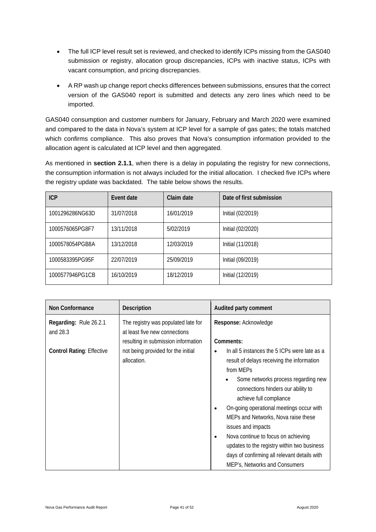- The full ICP level result set is reviewed, and checked to identify ICPs missing from the GAS040 submission or registry, allocation group discrepancies, ICPs with inactive status, ICPs with vacant consumption, and pricing discrepancies.
- A RP wash up change report checks differences between submissions, ensures that the correct version of the GAS040 report is submitted and detects any zero lines which need to be imported.

GAS040 consumption and customer numbers for January, February and March 2020 were examined and compared to the data in Nova's system at ICP level for a sample of gas gates; the totals matched which confirms compliance. This also proves that Nova's consumption information provided to the allocation agent is calculated at ICP level and then aggregated.

As mentioned in **section 2.1.1**, when there is a delay in populating the registry for new connections, the consumption information is not always included for the initial allocation. I checked five ICPs where the registry update was backdated. The table below shows the results.

| <b>ICP</b>      | <b>Fvent date</b> | Claim date | Date of first submission |
|-----------------|-------------------|------------|--------------------------|
| 1001296286NG63D | 31/07/2018        | 16/01/2019 | Initial (02/2019)        |
| 1000576065PG8F7 | 13/11/2018        | 5/02/2019  | Initial (02/2020)        |
| 1000578054PGB8A | 13/12/2018        | 12/03/2019 | Initial (11/2018)        |
| 1000583395PG95F | 22/07/2019        | 25/09/2019 | Initial (09/2019)        |
| 1000577946PG1CB | 16/10/2019        | 18/12/2019 | Initial (12/2019)        |

| Non Conformance                    | <b>Description</b>                                                                                          | Audited party comment                                                                                                                                                                                                                                                                                                                                                                                                                                                                                                                  |
|------------------------------------|-------------------------------------------------------------------------------------------------------------|----------------------------------------------------------------------------------------------------------------------------------------------------------------------------------------------------------------------------------------------------------------------------------------------------------------------------------------------------------------------------------------------------------------------------------------------------------------------------------------------------------------------------------------|
| Regarding: Rule 26.2.1<br>and 28.3 | The registry was populated late for<br>at least five new connections<br>resulting in submission information | Response: Acknowledge<br>Comments:                                                                                                                                                                                                                                                                                                                                                                                                                                                                                                     |
| <b>Control Rating: Effective</b>   | not being provided for the initial<br>allocation.                                                           | In all 5 instances the 5 ICPs were late as a<br>$\bullet$<br>result of delays receiving the information<br>from MEPs<br>Some networks process regarding new<br>connections hinders our ability to<br>achieve full compliance<br>On-going operational meetings occur with<br>$\bullet$<br>MEPs and Networks, Nova raise these<br>issues and impacts<br>Nova continue to focus on achieving<br>$\bullet$<br>updates to the registry within two business<br>days of confirming all relevant details with<br>MEP's, Networks and Consumers |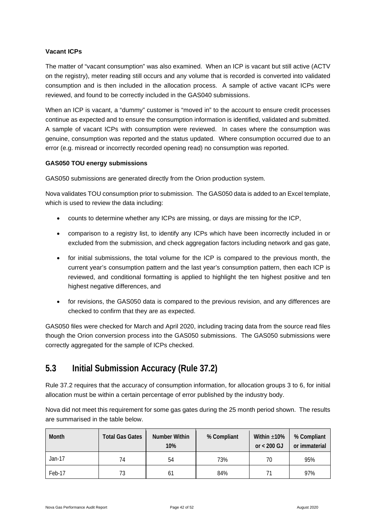#### **Vacant ICPs**

The matter of "vacant consumption" was also examined. When an ICP is vacant but still active (ACTV on the registry), meter reading still occurs and any volume that is recorded is converted into validated consumption and is then included in the allocation process. A sample of active vacant ICPs were reviewed, and found to be correctly included in the GAS040 submissions.

When an ICP is vacant, a "dummy" customer is "moved in" to the account to ensure credit processes continue as expected and to ensure the consumption information is identified, validated and submitted. A sample of vacant ICPs with consumption were reviewed. In cases where the consumption was genuine, consumption was reported and the status updated. Where consumption occurred due to an error (e.g. misread or incorrectly recorded opening read) no consumption was reported.

#### **GAS050 TOU energy submissions**

GAS050 submissions are generated directly from the Orion production system.

Nova validates TOU consumption prior to submission. The GAS050 data is added to an Excel template, which is used to review the data including:

- counts to determine whether any ICPs are missing, or days are missing for the ICP,
- comparison to a registry list, to identify any ICPs which have been incorrectly included in or excluded from the submission, and check aggregation factors including network and gas gate,
- for initial submissions, the total volume for the ICP is compared to the previous month, the current year's consumption pattern and the last year's consumption pattern, then each ICP is reviewed, and conditional formatting is applied to highlight the ten highest positive and ten highest negative differences, and
- for revisions, the GAS050 data is compared to the previous revision, and any differences are checked to confirm that they are as expected.

GAS050 files were checked for March and April 2020, including tracing data from the source read files though the Orion conversion process into the GAS050 submissions. The GAS050 submissions were correctly aggregated for the sample of ICPs checked.

### <span id="page-41-0"></span>**5.3 Initial Submission Accuracy (Rule 37.2)**

Rule 37.2 requires that the accuracy of consumption information, for allocation groups 3 to 6, for initial allocation must be within a certain percentage of error published by the industry body.

Nova did not meet this requirement for some gas gates during the 25 month period shown. The results are summarised in the table below.

| Month    | <b>Total Gas Gates</b> | Number Within<br>10% | % Compliant | Within $\pm 10\%$<br>or $< 200$ GJ | % Compliant<br>or immaterial |
|----------|------------------------|----------------------|-------------|------------------------------------|------------------------------|
| $Jan-17$ | 74                     | 54                   | 73%         | 70                                 | 95%                          |
| Feb-17   | 73                     | 61                   | 84%         |                                    | 97%                          |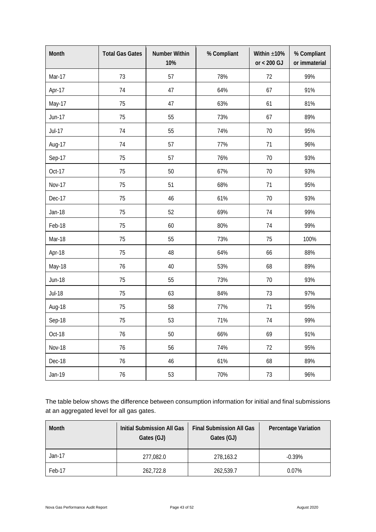| Month         | <b>Total Gas Gates</b> | <b>Number Within</b><br>10% | % Compliant | Within $\pm 10\%$<br>or $< 200$ GJ | % Compliant<br>or immaterial |
|---------------|------------------------|-----------------------------|-------------|------------------------------------|------------------------------|
| Mar-17        | 73                     | 57                          | 78%         | 72                                 | 99%                          |
| Apr-17        | 74                     | 47                          | 64%         | 67                                 | 91%                          |
| May-17        | 75                     | 47                          | 63%         | 61                                 | 81%                          |
| Jun-17        | 75                     | 55                          | 73%         | 67                                 | 89%                          |
| <b>Jul-17</b> | 74                     | 55                          | 74%         | 70                                 | 95%                          |
| Aug-17        | 74                     | 57                          | 77%         | 71                                 | 96%                          |
| Sep-17        | 75                     | 57                          | 76%         | 70                                 | 93%                          |
| Oct-17        | 75                     | 50                          | 67%         | 70                                 | 93%                          |
| <b>Nov-17</b> | 75                     | 51                          | 68%         | 71                                 | 95%                          |
| Dec-17        | 75                     | 46                          | 61%         | 70                                 | 93%                          |
| <b>Jan-18</b> | 75                     | 52                          | 69%         | 74                                 | 99%                          |
| Feb-18        | 75                     | 60                          | 80%         | 74                                 | 99%                          |
| Mar-18        | 75                     | 55                          | 73%         | 75                                 | 100%                         |
| Apr-18        | 75                     | 48                          | 64%         | 66                                 | 88%                          |
| May-18        | 76                     | 40                          | 53%         | 68                                 | 89%                          |
| <b>Jun-18</b> | 75                     | 55                          | 73%         | 70                                 | 93%                          |
| <b>Jul-18</b> | 75                     | 63                          | 84%         | 73                                 | 97%                          |
| Aug-18        | 75                     | 58                          | 77%         | 71                                 | 95%                          |
| Sep-18        | 75                     | 53                          | 71%         | 74                                 | 99%                          |
| Oct-18        | 76                     | 50                          | 66%         | 69                                 | 91%                          |
| <b>Nov-18</b> | 76                     | 56                          | 74%         | 72                                 | 95%                          |
| Dec-18        | 76                     | 46                          | 61%         | 68                                 | 89%                          |
| Jan-19        | 76                     | 53                          | 70%         | 73                                 | 96%                          |

The table below shows the difference between consumption information for initial and final submissions at an aggregated level for all gas gates.

| Month  | Initial Submission All Gas<br>Gates (GJ) | <b>Final Submission All Gas</b><br>Gates (GJ) | <b>Percentage Variation</b> |
|--------|------------------------------------------|-----------------------------------------------|-----------------------------|
| Jan-17 | 277,082.0                                | 278,163.2                                     | $-0.39\%$                   |
| Feb-17 | 262,722.8                                | 262,539.7                                     | $0.07\%$                    |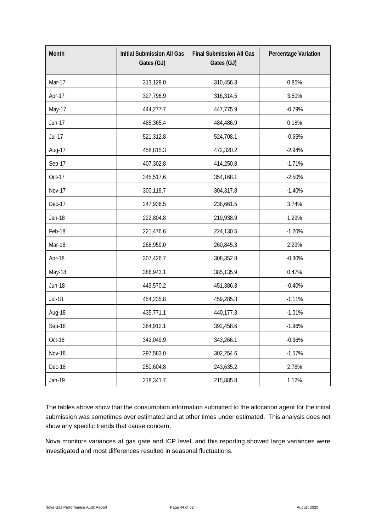| Month         | <b>Initial Submission All Gas</b><br>Gates (GJ) | <b>Final Submission All Gas</b><br>Gates (GJ) | Percentage Variation |
|---------------|-------------------------------------------------|-----------------------------------------------|----------------------|
| <b>Mar-17</b> | 313,129.0                                       | 310,456.3                                     | 0.85%                |
| Apr-17        | 327,796.9                                       | 316,314.5                                     | 3.50%                |
| May-17        | 444,277.7                                       | 447,775.9                                     | $-0.79%$             |
| Jun-17        | 485,365.4                                       | 484,486.9                                     | 0.18%                |
| <b>Jul-17</b> | 521,312.8                                       | 524,708.1                                     | $-0.65%$             |
| Aug-17        | 458,815.3                                       | 472,320.2                                     | $-2.94%$             |
| Sep-17        | 407,302.8                                       | 414,250.8                                     | $-1.71%$             |
| Oct-17        | 345,517.6                                       | 354,168.1                                     | $-2.50%$             |
| <b>Nov-17</b> | 300,119.7                                       | 304,317.8                                     | $-1.40%$             |
| Dec-17        | 247,936.5                                       | 238,661.5                                     | 3.74%                |
| <b>Jan-18</b> | 222,804.8                                       | 219,938.9                                     | 1.29%                |
| Feb-18        | 221,476.6                                       | 224,130.5                                     | $-1.20%$             |
| Mar-18        | 266,959.0                                       | 260,845.3                                     | 2.29%                |
| Apr-18        | 307,426.7                                       | 308,352.8                                     | $-0.30%$             |
| May-18        | 386,943.1                                       | 385,135.9                                     | 0.47%                |
| <b>Jun-18</b> | 449,570.2                                       | 451,386.3                                     | $-0.40%$             |
| <b>Jul-18</b> | 454,235.8                                       | 459,285.3                                     | $-1.11%$             |
| Aug-18        | 435,771.1                                       | 440,177.3                                     | $-1.01%$             |
| Sep-18        | 384,912.1                                       | 392,458.6                                     | $-1.96%$             |
| Oct-18        | 342,049.9                                       | 343,266.1                                     | $-0.36%$             |
| <b>Nov-18</b> | 297,583.0                                       | 302,254.6                                     | $-1.57%$             |
| Dec-18        | 250,604.8                                       | 243,635.2                                     | 2.78%                |
| Jan-19        | 218,341.7                                       | 215,885.8                                     | 1.12%                |

The tables above show that the consumption information submitted to the allocation agent for the initial submission was sometimes over estimated and at other times under estimated. This analysis does not show any specific trends that cause concern.

Nova monitors variances at gas gate and ICP level, and this reporting showed large variances were investigated and most differences resulted in seasonal fluctuations.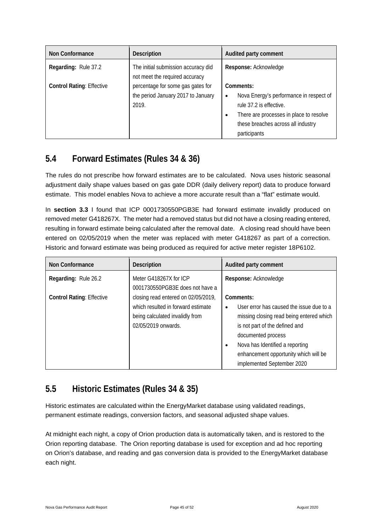| Non Conformance                  | <b>Description</b>                                                               | Audited party comment                                                                                                                                                                                      |
|----------------------------------|----------------------------------------------------------------------------------|------------------------------------------------------------------------------------------------------------------------------------------------------------------------------------------------------------|
| Regarding: Rule 37.2             | The initial submission accuracy did<br>not meet the required accuracy            | Response: Acknowledge                                                                                                                                                                                      |
| <b>Control Rating: Effective</b> | percentage for some gas gates for<br>the period January 2017 to January<br>2019. | Comments:<br>Nova Energy's performance in respect of<br>$\bullet$<br>rule 37.2 is effective.<br>There are processes in place to resolve<br>$\bullet$<br>these breaches across all industry<br>participants |

### <span id="page-44-0"></span>**5.4 Forward Estimates (Rules 34 & 36)**

The rules do not prescribe how forward estimates are to be calculated. Nova uses historic seasonal adjustment daily shape values based on gas gate DDR (daily delivery report) data to produce forward estimate. This model enables Nova to achieve a more accurate result than a "flat" estimate would.

In **section 3.3** I found that ICP 0001730550PGB3E had forward estimate invalidly produced on removed meter G418267X. The meter had a removed status but did not have a closing reading entered, resulting in forward estimate being calculated after the removal date. A closing read should have been entered on 02/05/2019 when the meter was replaced with meter G418267 as part of a correction. Historic and forward estimate was being produced as required for active meter register 18P6102.

| Non Conformance                  | <b>Description</b>                                                                                                                  | Audited party comment                                                                                                                                                                                                                                                            |
|----------------------------------|-------------------------------------------------------------------------------------------------------------------------------------|----------------------------------------------------------------------------------------------------------------------------------------------------------------------------------------------------------------------------------------------------------------------------------|
| Regarding: Rule 26.2             | Meter G418267X for ICP<br>0001730550PGB3E does not have a                                                                           | Response: Acknowledge                                                                                                                                                                                                                                                            |
| <b>Control Rating: Effective</b> | closing read entered on 02/05/2019,<br>which resulted in forward estimate<br>being calculated invalidly from<br>02/05/2019 onwards. | Comments:<br>User error has caused the issue due to a<br>$\bullet$<br>missing closing read being entered which<br>is not part of the defined and<br>documented process<br>Nova has Identified a reporting<br>enhancement opportunity which will be<br>implemented September 2020 |

### <span id="page-44-1"></span>**5.5 Historic Estimates (Rules 34 & 35)**

Historic estimates are calculated within the EnergyMarket database using validated readings, permanent estimate readings, conversion factors, and seasonal adjusted shape values.

At midnight each night, a copy of Orion production data is automatically taken, and is restored to the Orion reporting database. The Orion reporting database is used for exception and ad hoc reporting on Orion's database, and reading and gas conversion data is provided to the EnergyMarket database each night.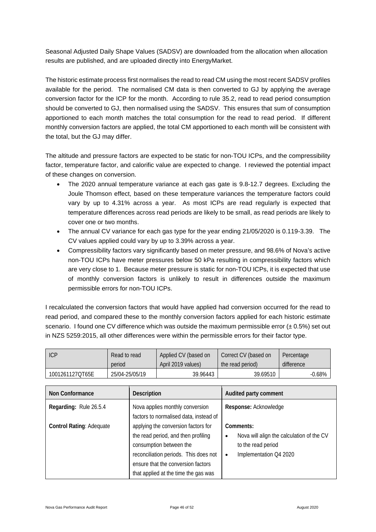Seasonal Adjusted Daily Shape Values (SADSV) are downloaded from the allocation when allocation results are published, and are uploaded directly into EnergyMarket.

The historic estimate process first normalises the read to read CM using the most recent SADSV profiles available for the period. The normalised CM data is then converted to GJ by applying the average conversion factor for the ICP for the month. According to rule 35.2, read to read period consumption should be converted to GJ, then normalised using the SADSV. This ensures that sum of consumption apportioned to each month matches the total consumption for the read to read period. If different monthly conversion factors are applied, the total CM apportioned to each month will be consistent with the total, but the GJ may differ.

The altitude and pressure factors are expected to be static for non-TOU ICPs, and the compressibility factor, temperature factor, and calorific value are expected to change. I reviewed the potential impact of these changes on conversion.

- The 2020 annual temperature variance at each gas gate is 9.8-12.7 degrees. Excluding the Joule Thomson effect, based on these temperature variances the temperature factors could vary by up to 4.31% across a year. As most ICPs are read regularly is expected that temperature differences across read periods are likely to be small, as read periods are likely to cover one or two months.
- The annual CV variance for each gas type for the year ending 21/05/2020 is 0.119-3.39. The CV values applied could vary by up to 3.39% across a year.
- Compressibility factors vary significantly based on meter pressure, and 98.6% of Nova's active non-TOU ICPs have meter pressures below 50 kPa resulting in compressibility factors which are very close to 1. Because meter pressure is static for non-TOU ICPs, it is expected that use of monthly conversion factors is unlikely to result in differences outside the maximum permissible errors for non-TOU ICPs.

I recalculated the conversion factors that would have applied had conversion occurred for the read to read period, and compared these to the monthly conversion factors applied for each historic estimate scenario. I found one CV difference which was outside the maximum permissible error  $(\pm 0.5\%)$  set out in NZS 5259:2015, all other differences were within the permissible errors for their factor type.

| ICP             | Read to read   | Applied CV (based on | Correct CV (based on | Percentage |
|-----------------|----------------|----------------------|----------------------|------------|
|                 | period         | April 2019 values)   | the read period)     | difference |
| 1001261127QT65E | 25/04-25/05/19 | 39.96443             | 39.69510             | $-0.68\%$  |

| <b>Non Conformance</b>          | <b>Description</b>                                                                                                                                                                                                           | Audited party comment                                                                                                            |
|---------------------------------|------------------------------------------------------------------------------------------------------------------------------------------------------------------------------------------------------------------------------|----------------------------------------------------------------------------------------------------------------------------------|
| Regarding: Rule 26.5.4          | Nova applies monthly conversion<br>factors to normalised data, instead of                                                                                                                                                    | Response: Acknowledge                                                                                                            |
| <b>Control Rating: Adequate</b> | applying the conversion factors for<br>the read period, and then profiling<br>consumption between the<br>reconciliation periods. This does not<br>ensure that the conversion factors<br>that applied at the time the gas was | Comments:<br>Nova will align the calculation of the CV<br>$\bullet$<br>to the read period<br>Implementation Q4 2020<br>$\bullet$ |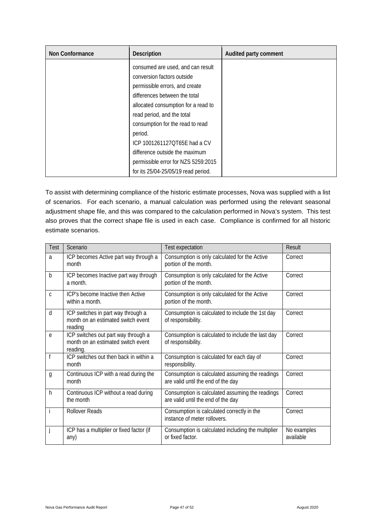| Non Conformance | <b>Description</b>                  | Audited party comment |
|-----------------|-------------------------------------|-----------------------|
|                 | consumed are used, and can result   |                       |
|                 | conversion factors outside          |                       |
|                 | permissible errors, and create      |                       |
|                 | differences between the total       |                       |
|                 | allocated consumption for a read to |                       |
|                 | read period, and the total          |                       |
|                 | consumption for the read to read    |                       |
|                 | period.                             |                       |
|                 | ICP 1001261127QT65E had a CV        |                       |
|                 | difference outside the maximum      |                       |
|                 | permissible error for NZS 5259:2015 |                       |
|                 | for its 25/04-25/05/19 read period. |                       |

To assist with determining compliance of the historic estimate processes, Nova was supplied with a list of scenarios. For each scenario, a manual calculation was performed using the relevant seasonal adjustment shape file, and this was compared to the calculation performed in Nova's system. This test also proves that the correct shape file is used in each case. Compliance is confirmed for all historic estimate scenarios.

| Test | Scenario                                                                              | Test expectation                                                                      | Result                   |
|------|---------------------------------------------------------------------------------------|---------------------------------------------------------------------------------------|--------------------------|
| a    | ICP becomes Active part way through a<br>month                                        | Consumption is only calculated for the Active<br>portion of the month.                | Correct                  |
| b    | ICP becomes Inactive part way through<br>a month.                                     | Consumption is only calculated for the Active<br>portion of the month.                | Correct                  |
| C    | ICP's become Inactive then Active<br>within a month.                                  | Consumption is only calculated for the Active<br>portion of the month.                | Correct                  |
| d    | ICP switches in part way through a<br>month on an estimated switch event<br>reading   | Consumption is calculated to include the 1st day<br>of responsibility.                | Correct                  |
| e    | ICP switches out part way through a<br>month on an estimated switch event<br>reading. | Consumption is calculated to include the last day<br>of responsibility.               | Correct                  |
|      | ICP switches out then back in within a<br>month                                       | Consumption is calculated for each day of<br>responsibility.                          | Correct                  |
| g    | Continuous ICP with a read during the<br>month                                        | Consumption is calculated assuming the readings<br>are valid until the end of the day | Correct                  |
| h    | Continuous ICP without a read during<br>the month                                     | Consumption is calculated assuming the readings<br>are valid until the end of the day | Correct                  |
|      | <b>Rollover Reads</b>                                                                 | Consumption is calculated correctly in the<br>instance of meter rollovers.            | Correct                  |
|      | ICP has a multiplier or fixed factor (if<br>any)                                      | Consumption is calculated including the multiplier<br>or fixed factor.                | No examples<br>available |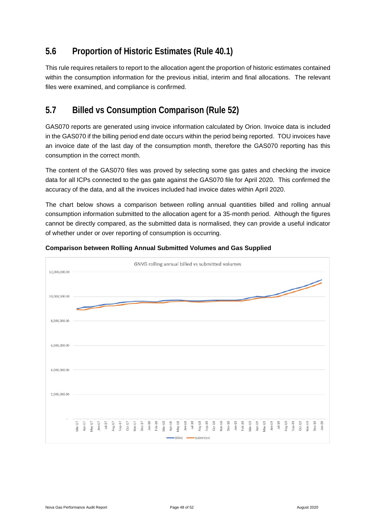### <span id="page-47-0"></span>**5.6 Proportion of Historic Estimates (Rule 40.1)**

This rule requires retailers to report to the allocation agent the proportion of historic estimates contained within the consumption information for the previous initial, interim and final allocations. The relevant files were examined, and compliance is confirmed.

### <span id="page-47-1"></span>**5.7 Billed vs Consumption Comparison (Rule 52)**

GAS070 reports are generated using invoice information calculated by Orion. Invoice data is included in the GAS070 if the billing period end date occurs within the period being reported. TOU invoices have an invoice date of the last day of the consumption month, therefore the GAS070 reporting has this consumption in the correct month.

The content of the GAS070 files was proved by selecting some gas gates and checking the invoice data for all ICPs connected to the gas gate against the GAS070 file for April 2020. This confirmed the accuracy of the data, and all the invoices included had invoice dates within April 2020.

The chart below shows a comparison between rolling annual quantities billed and rolling annual consumption information submitted to the allocation agent for a 35-month period. Although the figures cannot be directly compared, as the submitted data is normalised, they can provide a useful indicator of whether under or over reporting of consumption is occurring.



#### **Comparison between Rolling Annual Submitted Volumes and Gas Supplied**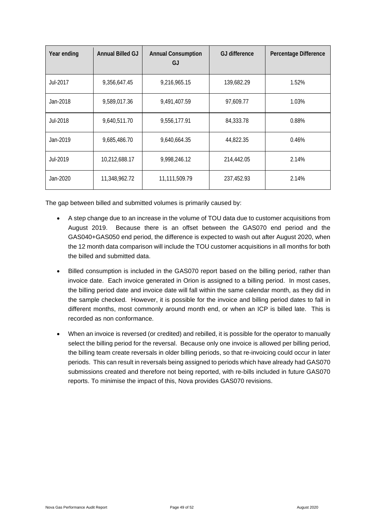| Year ending | <b>Annual Billed GJ</b> | <b>Annual Consumption</b><br>GJ | <b>GJ</b> difference | Percentage Difference |
|-------------|-------------------------|---------------------------------|----------------------|-----------------------|
| Jul-2017    | 9,356,647.45            | 9,216,965.15                    | 139,682.29           | 1.52%                 |
| Jan-2018    | 9,589,017.36            | 9,491,407.59                    | 97,609.77            | 1.03%                 |
| Jul-2018    | 9,640,511.70            | 9,556,177.91                    | 84,333.78            | 0.88%                 |
| Jan-2019    | 9,685,486.70            | 9,640,664.35                    | 44,822.35            | 0.46%                 |
| Jul-2019    | 10,212,688.17           | 9,998,246.12                    | 214,442.05           | 2.14%                 |
| Jan-2020    | 11,348,962.72           | 11,111,509.79                   | 237,452.93           | 2.14%                 |

The gap between billed and submitted volumes is primarily caused by:

- A step change due to an increase in the volume of TOU data due to customer acquisitions from August 2019. Because there is an offset between the GAS070 end period and the GAS040+GAS050 end period, the difference is expected to wash out after August 2020, when the 12 month data comparison will include the TOU customer acquisitions in all months for both the billed and submitted data.
- Billed consumption is included in the GAS070 report based on the billing period, rather than invoice date. Each invoice generated in Orion is assigned to a billing period. In most cases, the billing period date and invoice date will fall within the same calendar month, as they did in the sample checked. However, it is possible for the invoice and billing period dates to fall in different months, most commonly around month end, or when an ICP is billed late. This is recorded as non conformance.
- When an invoice is reversed (or credited) and rebilled, it is possible for the operator to manually select the billing period for the reversal. Because only one invoice is allowed per billing period, the billing team create reversals in older billing periods, so that re-invoicing could occur in later periods. This can result in reversals being assigned to periods which have already had GAS070 submissions created and therefore not being reported, with re-bills included in future GAS070 reports. To minimise the impact of this, Nova provides GAS070 revisions.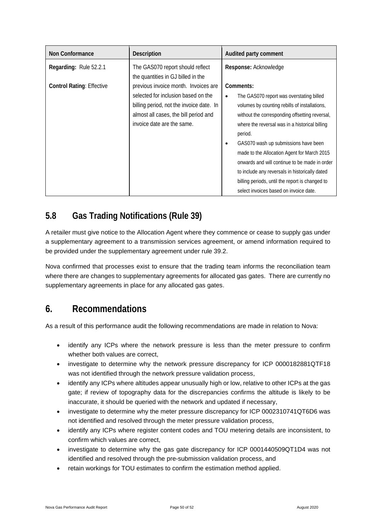| <b>Non Conformance</b>           | <b>Description</b>                                                                                                                                                                             | Audited party comment                                                                                                                                                                                                                                                                                                                                                                                                                                                                                                          |
|----------------------------------|------------------------------------------------------------------------------------------------------------------------------------------------------------------------------------------------|--------------------------------------------------------------------------------------------------------------------------------------------------------------------------------------------------------------------------------------------------------------------------------------------------------------------------------------------------------------------------------------------------------------------------------------------------------------------------------------------------------------------------------|
| Regarding: Rule 52.2.1           | The GAS070 report should reflect<br>the quantities in GJ billed in the                                                                                                                         | Response: Acknowledge                                                                                                                                                                                                                                                                                                                                                                                                                                                                                                          |
| <b>Control Rating: Effective</b> | previous invoice month. Invoices are<br>selected for inclusion based on the<br>billing period, not the invoice date. In<br>almost all cases, the bill period and<br>invoice date are the same. | Comments:<br>The GAS070 report was overstating billed<br>٠<br>volumes by counting rebills of installations,<br>without the corresponding offsetting reversal,<br>where the reversal was in a historical billing<br>period.<br>GAS070 wash up submissions have been<br>$\bullet$<br>made to the Allocation Agent for March 2015<br>onwards and will continue to be made in order<br>to include any reversals in historically dated<br>billing periods, until the report is changed to<br>select invoices based on invoice date. |

### <span id="page-49-0"></span>**5.8 Gas Trading Notifications (Rule 39)**

A retailer must give notice to the Allocation Agent where they commence or cease to supply gas under a supplementary agreement to a transmission services agreement, or amend information required to be provided under the supplementary agreement under rule 39.2.

Nova confirmed that processes exist to ensure that the trading team informs the reconciliation team where there are changes to supplementary agreements for allocated gas gates. There are currently no supplementary agreements in place for any allocated gas gates.

# <span id="page-49-1"></span>**6. Recommendations**

As a result of this performance audit the following recommendations are made in relation to Nova:

- identify any ICPs where the network pressure is less than the meter pressure to confirm whether both values are correct,
- investigate to determine why the network pressure discrepancy for ICP 0000182881QTF18 was not identified through the network pressure validation process,
- identify any ICPs where altitudes appear unusually high or low, relative to other ICPs at the gas gate; if review of topography data for the discrepancies confirms the altitude is likely to be inaccurate, it should be queried with the network and updated if necessary,
- investigate to determine why the meter pressure discrepancy for ICP 0002310741QT6D6 was not identified and resolved through the meter pressure validation process,
- identify any ICPs where register content codes and TOU metering details are inconsistent, to confirm which values are correct,
- investigate to determine why the gas gate discrepancy for ICP 0001440509QT1D4 was not identified and resolved through the pre-submission validation process, and
- retain workings for TOU estimates to confirm the estimation method applied.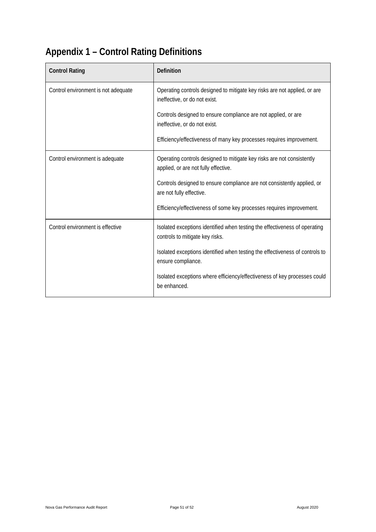# <span id="page-50-0"></span>**Appendix 1 – Control Rating Definitions**

| <b>Control Rating</b>               | <b>Definition</b>                                                                                              |
|-------------------------------------|----------------------------------------------------------------------------------------------------------------|
| Control environment is not adequate | Operating controls designed to mitigate key risks are not applied, or are<br>ineffective, or do not exist.     |
|                                     | Controls designed to ensure compliance are not applied, or are<br>ineffective, or do not exist.                |
|                                     | Efficiency/effectiveness of many key processes requires improvement.                                           |
| Control environment is adequate     | Operating controls designed to mitigate key risks are not consistently<br>applied, or are not fully effective. |
|                                     | Controls designed to ensure compliance are not consistently applied, or<br>are not fully effective.            |
|                                     | Efficiency/effectiveness of some key processes requires improvement.                                           |
| Control environment is effective    | Isolated exceptions identified when testing the effectiveness of operating<br>controls to mitigate key risks.  |
|                                     | Isolated exceptions identified when testing the effectiveness of controls to<br>ensure compliance.             |
|                                     | Isolated exceptions where efficiency/effectiveness of key processes could<br>be enhanced.                      |